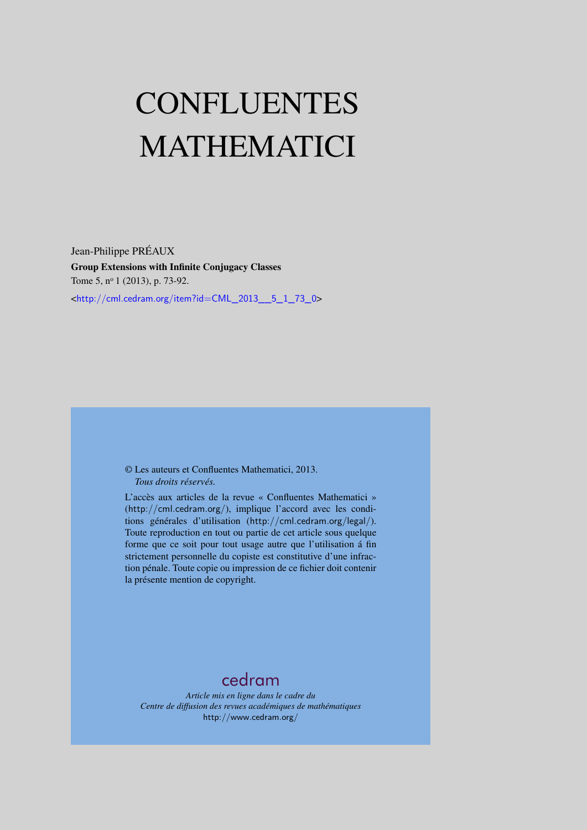# CONFLUENTES MATHEMATICI

Jean-Philippe PRÉAUX Group Extensions with Infinite Conjugacy Classes Tome 5, nº 1 (2013), p. 73-92. <[http://cml.cedram.org/item?id=CML\\_2013\\_\\_5\\_1\\_73\\_0](http://cml.cedram.org/item?id=CML_2013__5_1_73_0)>

> © Les auteurs et Confluentes Mathematici, 2013. *Tous droits réservés.*

L'accès aux articles de la revue « Confluentes Mathematici » (<http://cml.cedram.org/>), implique l'accord avec les conditions générales d'utilisation (<http://cml.cedram.org/legal/>). Toute reproduction en tout ou partie de cet article sous quelque forme que ce soit pour tout usage autre que l'utilisation á fin strictement personnelle du copiste est constitutive d'une infraction pénale. Toute copie ou impression de ce fichier doit contenir la présente mention de copyright.

# [cedram](http://www.cedram.org/)

*Article mis en ligne dans le cadre du Centre de diffusion des revues académiques de mathématiques* <http://www.cedram.org/>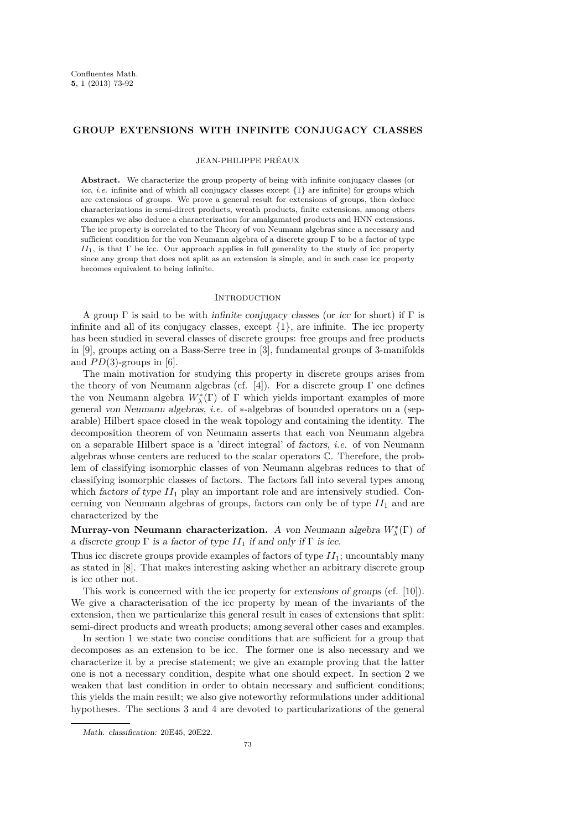# **GROUP EXTENSIONS WITH INFINITE CONJUGACY CLASSES**

#### JEAN-PHILIPPE PRÉAUX

Abstract. We characterize the group property of being with infinite conjugacy classes (or *icc*, *i.e.* infinite and of which all conjugacy classes except {1} are infinite) for groups which are extensions of groups. We prove a general result for extensions of groups, then deduce characterizations in semi-direct products, wreath products, finite extensions, among others examples we also deduce a characterization for amalgamated products and HNN extensions. The icc property is correlated to the Theory of von Neumann algebras since a necessary and sufficient condition for the von Neumann algebra of a discrete group  $\Gamma$  to be a factor of type *II*1, is that Γ be icc. Our approach applies in full generality to the study of icc property since any group that does not split as an extension is simple, and in such case icc property becomes equivalent to being infinite.

## **INTRODUCTION**

A group  $\Gamma$  is said to be with *infinite conjugacy classes* (or *icc* for short) if  $\Gamma$  is infinite and all of its conjugacy classes, except {1}, are infinite. The icc property has been studied in several classes of discrete groups: free groups and free products in [\[9\]](#page-20-0), groups acting on a Bass-Serre tree in [\[3\]](#page-20-0), fundamental groups of 3-manifolds and  $PD(3)$ -groups in [\[6\]](#page-20-0).

The main motivation for studying this property in discrete groups arises from the theory of von Neumann algebras (cf. [\[4\]](#page-20-0)). For a discrete group  $\Gamma$  one defines the von Neumann algebra  $W^*_\lambda(\Gamma)$  of  $\Gamma$  which yields important examples of more general von Neumann algebras, *i.e.* of ∗-algebras of bounded operators on a (separable) Hilbert space closed in the weak topology and containing the identity. The decomposition theorem of von Neumann asserts that each von Neumann algebra on a separable Hilbert space is a 'direct integral' of factors, *i.e.* of von Neumann algebras whose centers are reduced to the scalar operators C. Therefore, the problem of classifying isomorphic classes of von Neumann algebras reduces to that of classifying isomorphic classes of factors. The factors fall into several types among which *factors of type*  $II_1$  play an important role and are intensively studied. Concerning von Neumann algebras of groups, factors can only be of type *II*<sup>1</sup> and are characterized by the

**Murray-von Neumann characterization.** A von Neumann algebra *W*<sup>∗</sup> *λ* (Γ) of a discrete group  $\Gamma$  is a factor of type  $II_1$  if and only if  $\Gamma$  is icc.

Thus icc discrete groups provide examples of factors of type  $II_1$ ; uncountably many as stated in [\[8\]](#page-20-0). That makes interesting asking whether an arbitrary discrete group is icc other not.

This work is concerned with the icc property for extensions of groups (cf. [\[10\]](#page-20-0)). We give a characterisation of the icc property by mean of the invariants of the extension, then we particularize this general result in cases of extensions that split: semi-direct products and wreath products; among several other cases and examples.

In section 1 we state two concise conditions that are sufficient for a group that decomposes as an extension to be icc. The former one is also necessary and we characterize it by a precise statement; we give an example proving that the latter one is not a necessary condition, despite what one should expect. In section 2 we weaken that last condition in order to obtain necessary and sufficient conditions; this yields the main result; we also give noteworthy reformulations under additional hypotheses. The sections 3 and 4 are devoted to particularizations of the general

Math. classification: 20E45, 20E22.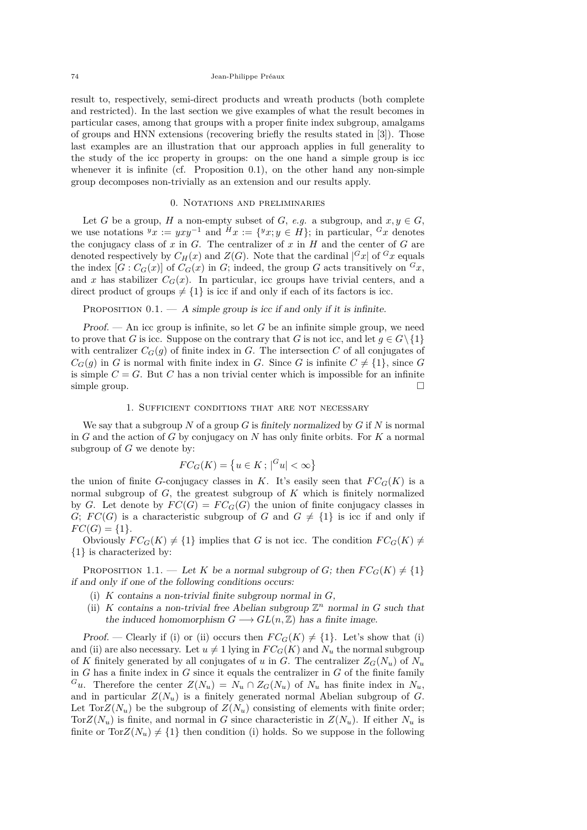<span id="page-2-0"></span>result to, respectively, semi-direct products and wreath products (both complete and restricted). In the last section we give examples of what the result becomes in particular cases, among that groups with a proper finite index subgroup, amalgams of groups and HNN extensions (recovering briefly the results stated in [\[3\]](#page-20-0)). Those last examples are an illustration that our approach applies in full generality to the study of the icc property in groups: on the one hand a simple group is icc whenever it is infinite (cf. Proposition 0.1), on the other hand any non-simple group decomposes non-trivially as an extension and our results apply.

# 0. Notations and preliminaries

Let *G* be a group, *H* a non-empty subset of *G*, *e.g.* a subgroup, and  $x, y \in G$ , we use notations  $^yx := yxy^{-1}$  and  $^Hx := \{^yx; y \in H\}$ ; in particular,  $^Gx$  denotes the conjugacy class of  $x$  in  $G$ . The centralizer of  $x$  in  $H$  and the center of  $G$  are denoted respectively by  $C_H(x)$  and  $Z(G)$ . Note that the cardinal  $|G_x|$  of  $G_x$  equals the index  $[G : C_G(x)]$  of  $C_G(x)$  in *G*; indeed, the group *G* acts transitively on  $^G x$ , and *x* has stabilizer  $C_G(x)$ . In particular, icc groups have trivial centers, and a direct product of groups  $\neq \{1\}$  is icc if and only if each of its factors is icc.

PROPOSITION  $0.1.$  — A simple group is icc if and only if it is infinite.

Proof. — An icc group is infinite, so let  $G$  be an infinite simple group, we need to prove that *G* is icc. Suppose on the contrary that *G* is not icc, and let  $g \in G \setminus \{1\}$ with centralizer  $C_G(q)$  of finite index in *G*. The intersection *C* of all conjugates of  $C_G(q)$  in *G* is normal with finite index in *G*. Since *G* is infinite  $C \neq \{1\}$ , since *G* is simple  $C = G$ . But  $C$  has a non trivial center which is impossible for an infinite simple group.  $\square$ 

#### 1. Sufficient conditions that are not necessary

We say that a subgroup *N* of a group *G* is finitely normalized by *G* if *N* is normal in *G* and the action of *G* by conjugacy on *N* has only finite orbits. For *K* a normal subgroup of *G* we denote by:

$$
FC_G(K) = \{u \in K \, ; \, |^G u| < \infty\}
$$

the union of finite *G*-conjugacy classes in *K*. It's easily seen that  $FC_G(K)$  is a normal subgroup of *G*, the greatest subgroup of *K* which is finitely normalized by *G*. Let denote by  $FC(G) = FC_G(G)$  the union of finite conjugacy classes in *G*;  $FC(G)$  is a characteristic subgroup of *G* and  $G \neq \{1\}$  is icc if and only if  $FC(G) = \{1\}.$ 

Obviously  $FC_G(K) \neq \{1\}$  implies that *G* is not icc. The condition  $FC_G(K) \neq$ {1} is characterized by:

PROPOSITION 1.1. — Let *K* be a normal subgroup of *G*; then  $FC_G(K) \neq \{1\}$ if and only if one of the following conditions occurs:

- (i) *K* contains a non-trivial finite subgroup normal in *G*,
- (ii) *K* contains a non-trivial free Abelian subgroup  $\mathbb{Z}^n$  normal in *G* such that the induced homomorphism  $G \longrightarrow GL(n, \mathbb{Z})$  has a finite image.

Proof. — Clearly if (i) or (ii) occurs then  $FC_G(K) \neq \{1\}$ . Let's show that (i) and (ii) are also necessary. Let  $u \neq 1$  lying in  $FC_G(K)$  and  $N_u$  the normal subgroup of *K* finitely generated by all conjugates of *u* in *G*. The centralizer  $Z_G(N_u)$  of  $N_u$ in  $G$  has a finite index in  $G$  since it equals the centralizer in  $G$  of the finite family  $G_u$ . Therefore the center  $Z(N_u) = N_u \cap Z_G(N_u)$  of  $N_u$  has finite index in  $N_u$ , and in particular  $Z(N_u)$  is a finitely generated normal Abelian subgroup of *G*. Let  $\text{Tor}Z(N_u)$  be the subgroup of  $Z(N_u)$  consisting of elements with finite order; Tor $Z(N_u)$  is finite, and normal in *G* since characteristic in  $Z(N_u)$ . If either  $N_u$  is finite or  $TorZ(N_u) \neq \{1\}$  then condition (i) holds. So we suppose in the following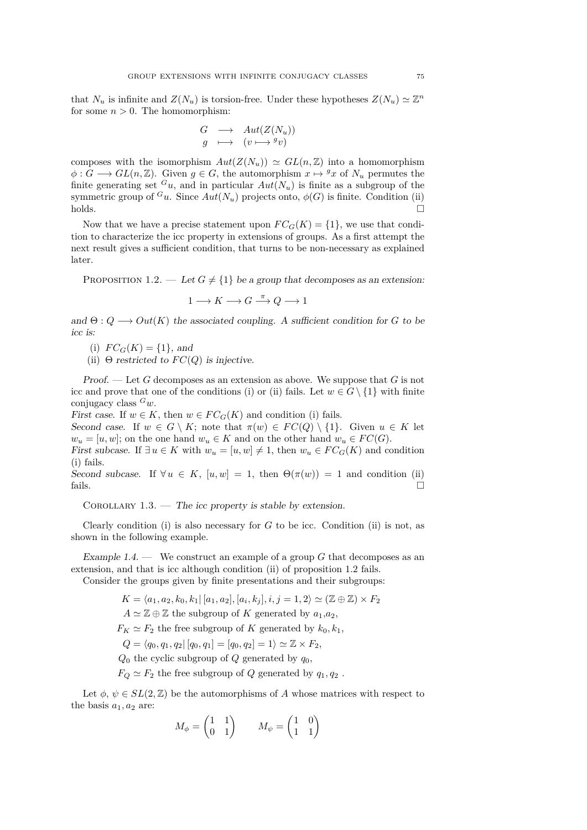<span id="page-3-0"></span>that  $N_u$  is infinite and  $Z(N_u)$  is torsion-free. Under these hypotheses  $Z(N_u) \simeq \mathbb{Z}^n$ for some  $n > 0$ . The homomorphism:

$$
\begin{array}{ccc}\nG & \longrightarrow & Aut(Z(N_u)) \\
g & \longmapsto & (v \longmapsto {}^{g}v)\n\end{array}
$$

composes with the isomorphism  $Aut(Z(N_u)) \simeq GL(n,\mathbb{Z})$  into a homomorphism  $\phi: G \longrightarrow GL(n, \mathbb{Z})$ . Given  $g \in G$ , the automorphism  $x \mapsto g_x$  of  $N_u$  permutes the finite generating set  $^G u$ , and in particular  $Aut(N_u)$  is finite as a subgroup of the symmetric group of  $^{G}u$ . Since  $Aut(N_u)$  projects onto,  $\phi(G)$  is finite. Condition (ii) holds.

Now that we have a precise statement upon  $FC_G(K) = \{1\}$ , we use that condition to characterize the icc property in extensions of groups. As a first attempt the next result gives a sufficient condition, that turns to be non-necessary as explained later.

PROPOSITION 1.2. — Let  $G \neq \{1\}$  be a group that decomposes as an extension:

$$
1 \longrightarrow K \longrightarrow G \stackrel{\pi}{\longrightarrow} Q \longrightarrow 1
$$

and  $\Theta: Q \longrightarrow Out(K)$  the associated coupling. A sufficient condition for *G* to be icc is:

(i)  $FC_G(K) = \{1\}$ , and

(ii)  $\Theta$  restricted to  $FC(Q)$  is injective.

Proof. — Let *G* decomposes as an extension as above. We suppose that *G* is not icc and prove that one of the conditions (i) or (ii) fails. Let  $w \in G \setminus \{1\}$  with finite conjugacy class *<sup>G</sup>w*.

First case. If  $w \in K$ , then  $w \in FC_G(K)$  and condition (i) fails.

Second case. If  $w \in G \setminus K$ ; note that  $\pi(w) \in FC(Q) \setminus \{1\}$ . Given  $u \in K$  let  $w_u = [u, w]$ ; on the one hand  $w_u \in K$  and on the other hand  $w_u \in FC(G)$ .

First subcase. If  $\exists u \in K$  with  $w_u = [u, w] \neq 1$ , then  $w_u \in FC_G(K)$  and condition (i) fails.

Second subcase. If  $\forall u \in K$ ,  $[u, w] = 1$ , then  $\Theta(\pi(w)) = 1$  and condition (ii) fails.  $\Box$ 

COROLLARY  $1.3.$  — The icc property is stable by extension.

Clearly condition (i) is also necessary for *G* to be icc. Condition (ii) is not, as shown in the following example.

Example  $1.4.$  — We construct an example of a group  $G$  that decomposes as an extension, and that is icc although condition (ii) of proposition 1.2 fails.

Consider the groups given by finite presentations and their subgroups:

 $K = \langle a_1, a_2, k_0, k_1 | [a_1, a_2], [a_i, k_j], i, j = 1, 2 \rangle \simeq (\mathbb{Z} \oplus \mathbb{Z}) \times F_2$  $A \simeq \mathbb{Z} \oplus \mathbb{Z}$  the subgroup of *K* generated by  $a_1, a_2$ ,  $F_K \simeq F_2$  the free subgroup of *K* generated by  $k_0, k_1$ ,  $Q = \langle q_0, q_1, q_2 | [q_0, q_1] = [q_0, q_2] = 1 \rangle \simeq \mathbb{Z} \times F_2$  $Q_0$  the cyclic subgroup of  $Q$  generated by  $q_0$ ,  $F_Q \simeq F_2$  the free subgroup of *Q* generated by  $q_1, q_2$ .

Let  $\phi, \psi \in SL(2, \mathbb{Z})$  be the automorphisms of *A* whose matrices with respect to the basis  $a_1, a_2$  are:

$$
M_{\phi} = \begin{pmatrix} 1 & 1 \\ 0 & 1 \end{pmatrix} \qquad M_{\psi} = \begin{pmatrix} 1 & 0 \\ 1 & 1 \end{pmatrix}
$$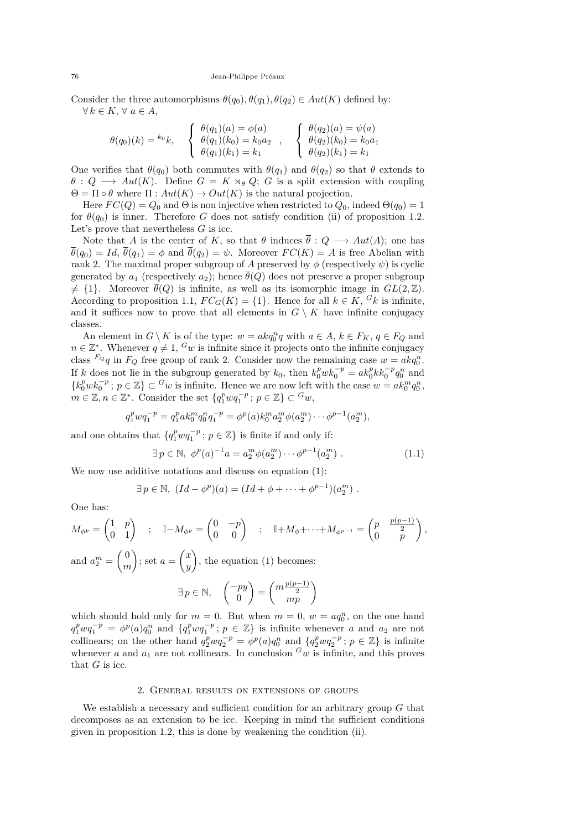Consider the three automorphisms  $\theta(q_0), \theta(q_1), \theta(q_2) \in Aut(K)$  defined by:  $∀ k ∈ K, ∀ a ∈ A,$ 

$$
\theta(q_0)(k) = {}^{k_0}k, \quad \begin{cases} \theta(q_1)(a) = \phi(a) \\ \theta(q_1)(k_0) = k_0 a_2 \\ \theta(q_1)(k_1) = k_1 \end{cases}, \quad \begin{cases} \theta(q_2)(a) = \psi(a) \\ \theta(q_2)(k_0) = k_0 a_1 \\ \theta(q_2)(k_1) = k_1 \end{cases}
$$

One verifies that  $\theta(q_0)$  both commutes with  $\theta(q_1)$  and  $\theta(q_2)$  so that  $\theta$  extends to  $\theta$  :  $Q \longrightarrow Aut(K)$ . Define  $G = K \rtimes_{\theta} Q$ ; *G* is a split extension with coupling  $\Theta = \Pi \circ \theta$  where  $\Pi : Aut(K) \to Out(K)$  is the natural projection.

Here  $FC(Q) = Q_0$  and  $\Theta$  is non injective when restricted to  $Q_0$ , indeed  $\Theta(q_0) = 1$ for  $\theta(q_0)$  is inner. Therefore *G* does not satisfy condition (ii) of proposition [1.2.](#page-3-0) Let's prove that nevertheless *G* is icc.

Note that *A* is the center of *K*, so that  $\theta$  induces  $\overline{\theta}: Q \longrightarrow Aut(A)$ ; one has  $\overline{\theta}(q_0) = Id$ ,  $\overline{\theta}(q_1) = \phi$  and  $\overline{\theta}(q_2) = \psi$ . Moreover  $FC(K) = A$  is free Abelian with rank 2. The maximal proper subgroup of *A* preserved by  $\phi$  (respectively  $\psi$ ) is cyclic generated by  $a_1$  (respectively  $a_2$ ); hence  $\overline{\theta}(Q)$  does not preserve a proper subgroup  $\neq$  {1}. Moreover  $\overline{\theta}(Q)$  is infinite, as well as its isomorphic image in  $GL(2,\mathbb{Z})$ . According to proposition [1.1,](#page-2-0)  $FC_G(K) = \{1\}$ . Hence for all  $k \in K$ ,  $G_k$  is infinite, and it suffices now to prove that all elements in  $G \setminus K$  have infinite conjugacy classes.

An element in  $G \setminus K$  is of the type:  $w = akq_0^n q$  with  $a \in A, k \in F_K, q \in F_Q$  and  $n \in \mathbb{Z}^*$ . Whenever  $q \neq 1$ ,  $^G w$  is infinite since it projects onto the infinite conjugacy class  $F_Q q$  in  $F_Q$  free group of rank 2. Consider now the remaining case  $w = akq_0^n$ . If *k* does not lie in the subgroup generated by  $k_0$ , then  $k_0^p w k_0^{-p} = a k_0^p k k_0^{-p} q_0^n$  and  ${k_0^p w k_0^{-p}}$ ;  $p \in \mathbb{Z}$   $\subset$  *Gw* is infinite. Hence we are now left with the case  $w = a k_0^m q_0^n$ ,  $m \in \mathbb{Z}, n \in \mathbb{Z}^*$ . Consider the set  $\{q_1^p w q_1^{-p}$ ;  $p \in \mathbb{Z}\} \subset \{Gw\}$ ,

$$
q_1^p w q_1^{-p} = q_1^p a k_0^m q_0^n q_1^{-p} = \phi^p(a) k_0^m a_2^m \phi(a_2^m) \cdots \phi^{p-1}(a_2^m),
$$

and one obtains that  $\{q_1^p w q_1^{-p}$ ;  $p \in \mathbb{Z}\}$  is finite if and only if:

$$
\exists p \in \mathbb{N}, \ \phi^p(a)^{-1}a = a_2^m \phi(a_2^m) \cdots \phi^{p-1}(a_2^m) \ . \tag{1.1}
$$

*,*

We now use additive notations and discuss on equation (1):

$$
\exists p \in \mathbb{N}, (Id - \phi^p)(a) = (Id + \phi + \cdots + \phi^{p-1})(a_2^m).
$$

One has:

$$
M_{\phi^p} = \begin{pmatrix} 1 & p \\ 0 & 1 \end{pmatrix} \quad ; \quad \mathbb{I} - M_{\phi^p} = \begin{pmatrix} 0 & -p \\ 0 & 0 \end{pmatrix} \quad ; \quad \mathbb{I} + M_{\phi} + \dots + M_{\phi^{p-1}} = \begin{pmatrix} p & \frac{p(p-1)}{2} \\ 0 & p \end{pmatrix}
$$
  
and  $a_2^m = \begin{pmatrix} 0 \\ m \end{pmatrix}$ ; set  $a = \begin{pmatrix} x \\ y \end{pmatrix}$ , the equation (1) becomes:  

$$
\exists p \in \mathbb{N}, \quad \begin{pmatrix} -py \\ 0 \end{pmatrix} = \begin{pmatrix} m\frac{p(p-1)}{2} \\ mp \end{pmatrix}
$$

which should hold only for  $m = 0$ . But when  $m = 0$ ,  $w = aq_0^n$ , on the one hand  $q_1^p w q_1^{-p} = \phi^p(a) q_0^n$  and  $\{q_1^p w q_1^{-p}$ ;  $p \in \mathbb{Z}\}\$ is infinite whenever *a* and *a*<sub>2</sub> are not collinears; on the other hand  $q_2^p w q_2^{-p} = \phi^p(a) q_0^n$  and  $\{q_2^p w q_2^{-p} : p \in \mathbb{Z}\}\$ is infinite whenever *a* and  $a_1$  are not collinears. In conclusion  $G_w$  is infinite, and this proves that  $G$  is icc.

#### 2. General results on extensions of groups

We establish a necessary and sufficient condition for an arbitrary group *G* that decomposes as an extension to be icc. Keeping in mind the sufficient conditions given in proposition [1.2,](#page-3-0) this is done by weakening the condition (ii).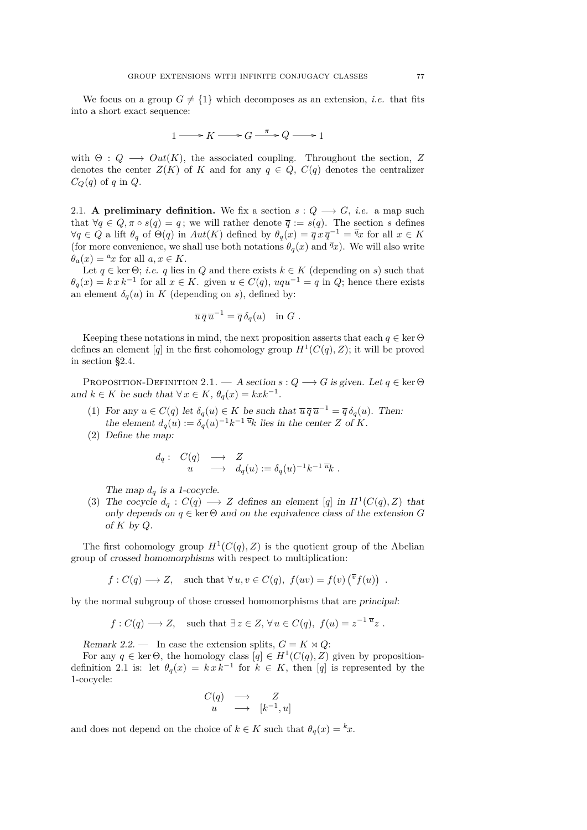<span id="page-5-0"></span>We focus on a group  $G \neq \{1\}$  which decomposes as an extension, *i.e.* that fits into a short exact sequence:

$$
1 \longrightarrow K \longrightarrow G \xrightarrow{\pi} Q \longrightarrow 1
$$

with  $\Theta: Q \longrightarrow Out(K)$ , the associated coupling. Throughout the section, Z denotes the center  $Z(K)$  of K and for any  $q \in Q$ ,  $C(q)$  denotes the centralizer  $C_Q(q)$  of *q* in  $Q$ .

2.1. **A preliminary definition.** We fix a section  $s: Q \longrightarrow G$ , *i.e.* a map such that  $\forall q \in Q, \pi \circ s(q) = q$ ; we will rather denote  $\overline{q} := s(q)$ . The section *s* defines  $\forall q \in Q$  a lift  $\theta_q$  of  $\Theta(q)$  in  $Aut(K)$  defined by  $\theta_q(x) = \overline{q} x \overline{q}^{-1} = \overline{q} x$  for all  $x \in K$ (for more convenience, we shall use both notations  $\theta_q(x)$  and  $\overline{q}_x$ ). We will also write  $\theta_a(x) = {}^a x$  for all  $a, x \in K$ .

Let  $q \in \text{ker } \Theta$ ; *i.e. q* lies in *Q* and there exists  $k \in K$  (depending on *s*) such that  $\theta_q(x) = k x k^{-1}$  for all  $x \in K$ . given  $u \in C(q)$ ,  $uqu^{-1} = q$  in *Q*; hence there exists an element  $\delta_q(u)$  in *K* (depending on *s*), defined by:

$$
\overline{u}\,\overline{q}\,\overline{u}^{-1} = \overline{q}\,\delta_q(u) \quad \text{in } G.
$$

Keeping these notations in mind, the next proposition asserts that each  $q \in \text{ker } \Theta$ defines an element [q] in the first cohomology group  $H^1(C(q), Z)$ ; it will be proved in section [§2.4.](#page-7-0)

PROPOSITION-DEFINITION 2.1. — A section  $s: Q \longrightarrow G$  is given. Let  $q \in \text{ker } \Theta$ and  $k \in K$  be such that  $\forall x \in K$ ,  $\theta_q(x) = kxk^{-1}$ .

- (1) For any  $u \in C(q)$  let  $\delta_q(u) \in K$  be such that  $\overline{u} \overline{q} \overline{u}^{-1} = \overline{q} \delta_q(u)$ . Then: the element  $d_q(u) := \delta_q(u)^{-1} k^{-1} \overline{u}_k$  lies in the center *Z* of *K*.
- (2) Define the map:

$$
\begin{array}{rcl}\nd_q: & C(q) & \longrightarrow & Z \\
u & \longrightarrow & d_q(u) := \delta_q(u)^{-1}k^{-1}\,\overline{u}_k .\n\end{array}
$$

The map  $d_q$  is a 1-cocycle.

(3) The cocycle  $d_q : C(q) \longrightarrow Z$  defines an element [q] in  $H^1(C(q), Z)$  that only depends on  $q \in \text{ker } \Theta$  and on the equivalence class of the extension *G* of *K* by *Q*.

The first cohomology group  $H^1(C(q), Z)$  is the quotient group of the Abelian group of crossed homomorphisms with respect to multiplication:

 $f: C(q) \longrightarrow Z$ , such that  $\forall u, v \in C(q)$ ,  $f(uv) = f(v) \left(\overline{v} f(u)\right)$ .

by the normal subgroup of those crossed homomorphisms that are principal:

$$
f: C(q) \longrightarrow Z
$$
, such that  $\exists z \in Z, \forall u \in C(q), f(u) = z^{-1} \overline{u}_z$ .

Remark 2.2. — In case the extension splits,  $G = K \rtimes Q$ :

For any  $q \in \text{ker } \Theta$ , the homology class  $[q] \in H^1(C(q), Z)$  given by propositiondefinition 2.1 is: let  $\theta_q(x) = k x k^{-1}$  for  $k \in K$ , then [*q*] is represented by the 1-cocycle:

$$
\begin{array}{rcl} C(q) & \longrightarrow & Z \\ u & \longrightarrow & [k^{-1}, u] \end{array}
$$

and does not depend on the choice of  $k \in K$  such that  $\theta_q(x) = kx$ .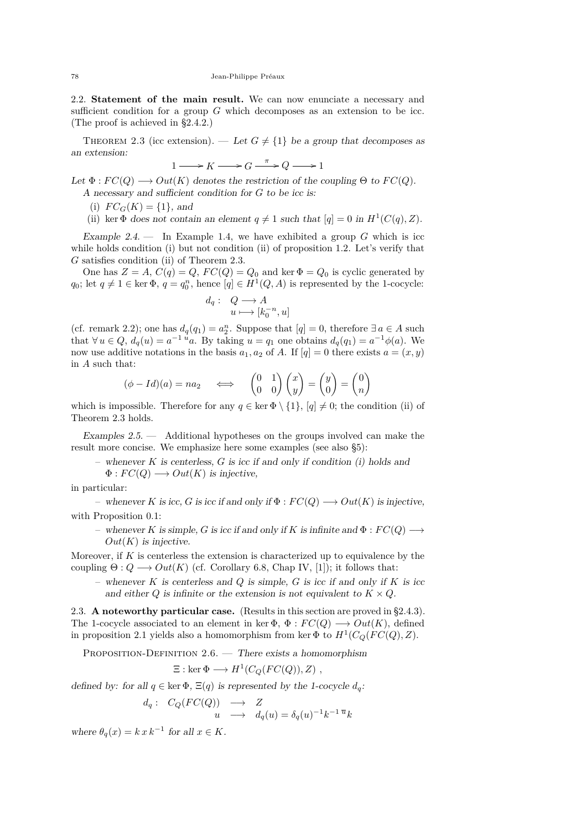<span id="page-6-0"></span>2.2. **Statement of the main result.** We can now enunciate a necessary and sufficient condition for a group *G* which decomposes as an extension to be icc. (The proof is achieved in [§2.4.2.](#page-9-0))

THEOREM 2.3 (icc extension). — Let  $G \neq \{1\}$  be a group that decomposes as an extension:

$$
1 \longrightarrow K \longrightarrow G \xrightarrow{\pi} Q \longrightarrow 1
$$

Let  $\Phi : FC(Q) \longrightarrow Out(K)$  denotes the restriction of the coupling  $\Theta$  to  $FC(Q)$ . A necessary and sufficient condition for *G* to be icc is:

(i)  $FC_G(K) = \{1\}$ , and

(ii) ker  $\Phi$  does not contain an element  $q \neq 1$  such that  $[q] = 0$  in  $H^1(C(q), Z)$ .

Example 2.4. — In Example [1.4,](#page-3-0) we have exhibited a group *G* which is icc while holds condition (i) but not condition (ii) of proposition [1.2.](#page-3-0) Let's verify that *G* satisfies condition (ii) of Theorem 2.3.

One has  $Z = A$ ,  $C(q) = Q$ ,  $FC(Q) = Q_0$  and ker  $\Phi = Q_0$  is cyclic generated by *q*<sub>0</sub>; let  $q \neq 1 \in \text{ker } \Phi$ ,  $q = q_0^n$ , hence  $[q] \in H^1(Q, A)$  is represented by the 1-cocycle:

$$
d_q: Q \longrightarrow A
$$

$$
u \longmapsto [k_0^{-n}, u]
$$

(cf. remark [2.2\)](#page-5-0); one has  $d_q(q_1) = a_2^n$ . Suppose that  $[q] = 0$ , therefore  $\exists a \in A$  such that  $\forall u \in Q$ ,  $d_q(u) = a^{-1} u$ . By taking  $u = q_1$  one obtains  $d_q(q_1) = a^{-1} \phi(a)$ . We now use additive notations in the basis  $a_1, a_2$  of *A*. If  $[q] = 0$  there exists  $a = (x, y)$ in *A* such that:

$$
(\phi - Id)(a) = na_2 \quad \iff \quad \begin{pmatrix} 0 & 1 \\ 0 & 0 \end{pmatrix} \begin{pmatrix} x \\ y \end{pmatrix} = \begin{pmatrix} y \\ 0 \end{pmatrix} = \begin{pmatrix} 0 \\ n \end{pmatrix}
$$

which is impossible. Therefore for any  $q \in \ker \Phi \setminus \{1\}$ ,  $[q] \neq 0$ ; the condition (ii) of Theorem 2.3 holds.

Examples  $2.5.$  — Additional hypotheses on the groups involved can make the result more concise. We emphasize here some examples (see also [§5\)](#page-14-0):

– whenever *K* is centerless, *G* is icc if and only if condition (i) holds and

 $\Phi: FC(Q) \longrightarrow Out(K)$  is injective,

in particular:

– whenever *K* is icc, *G* is icc if and only if Φ : *F C*(*Q*) −→ *Out*(*K*) is injective, with Proposition [0.1:](#page-2-0)

– whenever *K* is simple, *G* is icc if and only if *K* is infinite and Φ : *F C*(*Q*) −→  $Out(K)$  is injective.

Moreover, if *K* is centerless the extension is characterized up to equivalence by the coupling  $\Theta: Q \longrightarrow Out(K)$  (cf. Corollary 6.8, Chap IV, [\[1\]](#page-20-0)); it follows that:

– whenever *K* is centerless and *Q* is simple, *G* is icc if and only if *K* is icc and either  $Q$  is infinite or the extension is not equivalent to  $K \times Q$ .

2.3. **A noteworthy particular case.** (Results in this section are proved in [§2.4.3\)](#page-11-0). The 1-cocycle associated to an element in ker  $\Phi$ ,  $\Phi$  :  $FC(Q) \longrightarrow Out(K)$ , defined in proposition [2.1](#page-5-0) yields also a homomorphism from ker  $\Phi$  to  $H^1(C_Q(FC(Q), Z)$ .

PROPOSITION-DEFINITION  $2.6.$  — There exists a homomorphism

$$
\Xi: \ker \Phi \longrightarrow H^1(C_Q(FC(Q)), Z) ,
$$

defined by: for all  $q \in \text{ker } \Phi$ ,  $\Xi(q)$  is represented by the 1-cocycle  $d_q$ :

$$
d_q: C_Q(FC(Q)) \longrightarrow Z
$$
  
 
$$
u \longrightarrow d_q(u) = \delta_q(u)^{-1}k^{-1} \overline{u}k
$$

where  $\theta_q(x) = k x k^{-1}$  for all  $x \in K$ .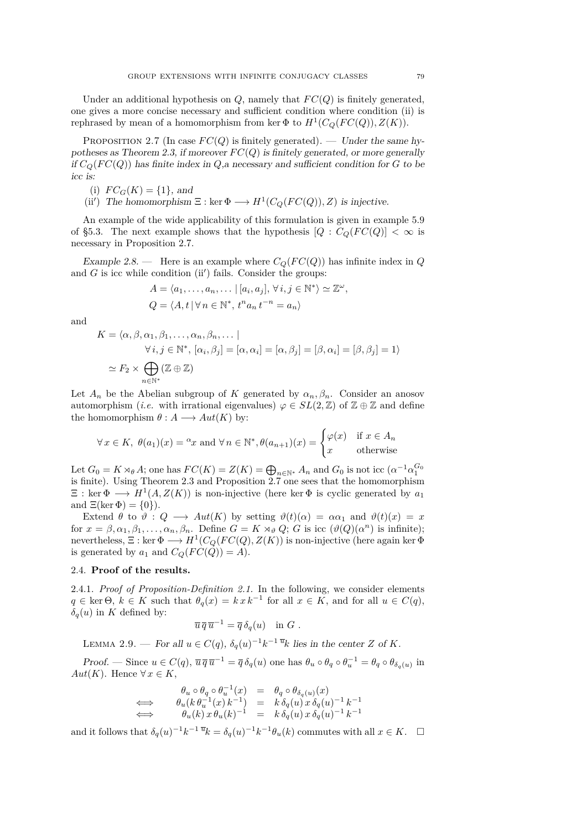<span id="page-7-0"></span>Under an additional hypothesis on  $Q$ , namely that  $FC(Q)$  is finitely generated, one gives a more concise necessary and sufficient condition where condition (ii) is rephrased by mean of a homomorphism from ker  $\Phi$  to  $H^1(C_Q(FC(Q)), Z(K))$ .

PROPOSITION 2.7 (In case  $FC(Q)$  is finitely generated). — Under the same hy-potheses as Theorem [2.3,](#page-6-0) if moreover  $FC(Q)$  is finitely generated, or more generally if  $C_Q(FC(Q))$  has finite index in  $Q$ , a necessary and sufficient condition for  $G$  to be icc is:

(i) 
$$
FC_G(K) = \{1\}
$$
, and

(ii') The homomorphism  $\Xi$  : ker  $\Phi \longrightarrow H^1(C_Q(FC(Q)), Z)$  is injective.

An example of the wide applicability of this formulation is given in example [5.9](#page-17-0) of [§5.3.](#page-16-0) The next example shows that the hypothesis  $[Q : C<sub>O</sub>(FC(Q)] < \infty$  is necessary in Proposition 2.7.

Example 2.8. — Here is an example where  $C_Q(FC(Q))$  has infinite index in *Q* and  $G$  is icc while condition (ii') fails. Consider the groups:

$$
A = \langle a_1, \dots, a_n, \dots \mid [a_i, a_j], \forall i, j \in \mathbb{N}^* \rangle \simeq \mathbb{Z}^{\omega}
$$
  

$$
Q = \langle A, t \mid \forall n \in \mathbb{N}^*, t^n a_n t^{-n} = a_n \rangle
$$

*,*

and

$$
K = \langle \alpha, \beta, \alpha_1, \beta_1, \dots, \alpha_n, \beta_n, \dots |
$$
  
\n
$$
\forall i, j \in \mathbb{N}^*, [\alpha_i, \beta_j] = [\alpha, \alpha_i] = [\alpha, \beta_j] = [\beta, \alpha_i] = [\beta, \beta_j] = 1
$$
  
\n
$$
\simeq F_2 \times \bigoplus_{n \in \mathbb{N}^*} (\mathbb{Z} \oplus \mathbb{Z})
$$

Let  $A_n$  be the Abelian subgroup of *K* generated by  $\alpha_n, \beta_n$ . Consider an anosov automorphism (*i.e.* with irrational eigenvalues)  $\varphi \in SL(2,\mathbb{Z})$  of  $\mathbb{Z} \oplus \mathbb{Z}$  and define the homomorphism  $\theta: A \longrightarrow Aut(K)$  by:

$$
\forall x \in K, \ \theta(a_1)(x) = \alpha x \text{ and } \forall n \in \mathbb{N}^*, \theta(a_{n+1})(x) = \begin{cases} \varphi(x) & \text{if } x \in A_n \\ x & \text{otherwise} \end{cases}
$$

Let  $G_0 = K \rtimes_{\theta} A$ ; one has  $FC(K) = Z(K) = \bigoplus_{n \in \mathbb{N}^*} A_n$  and  $G_0$  is not icc  $(\alpha^{-1} \alpha_1^{G_0})$ is finite). Using Theorem [2.3](#page-6-0) and Proposition 2.7 one sees that the homomorphism  $\Xi$ : ker  $\Phi \longrightarrow H^1(A, Z(K))$  is non-injective (here ker  $\Phi$  is cyclic generated by  $a_1$ ) and  $\Xi(\ker \Phi) = \{0\}$ ).

Extend  $\theta$  to  $\vartheta$ :  $Q \longrightarrow Aut(K)$  by setting  $\vartheta(t)(\alpha) = \alpha \alpha_1$  and  $\vartheta(t)(x) = x$ for  $x = \beta, \alpha_1, \beta_1, \ldots, \alpha_n, \beta_n$ . Define  $G = K \rtimes_{\vartheta} Q$ ; *G* is icc  $(\vartheta(Q)(\alpha^n))$  is infinite); nevertheless,  $\Xi : \ker \Phi \longrightarrow H^1(C_Q(FC(Q),Z(K))$  is non-injective (here again ker  $\Phi$ is generated by  $a_1$  and  $C_Q(FC(Q)) = A$ .

# 2.4. **Proof of the results.**

2.4.1. *Proof of Proposition-Definition [2.1.](#page-5-0)* In the following, we consider elements  $q \in \text{ker } \Theta$ ,  $k \in K$  such that  $\theta_q(x) = k x k^{-1}$  for all  $x \in K$ , and for all  $u \in C(q)$ ,  $δ<sub>q</sub>(u)$  in *K* defined by:

$$
\overline{u}\,\overline{q}\,\overline{u}^{-1} = \overline{q}\,\delta_q(u) \quad \text{in } G.
$$

LEMMA 2.9. — For all  $u \in C(q)$ ,  $\delta_q(u)^{-1}k^{-1}$ <sup> $\overline{u}$ </sup> $k$  lies in the center *Z* of *K*.

Proof. — Since  $u \in C(q)$ ,  $\overline{u} \overline{q} \overline{u}^{-1} = \overline{q} \delta_q(u)$  one has  $\theta_u \circ \theta_q \circ \theta_u^{-1} = \theta_q \circ \theta_{\delta_q(u)}$  in *Aut*(*K*). Hence  $\forall x \in K$ ,

$$
\begin{array}{rcl}\n\theta_u \circ \theta_q \circ \theta_u^{-1}(x) & = & \theta_q \circ \theta_{\delta_q(u)}(x) \\
\Longleftrightarrow & \theta_u(k \theta_u^{-1}(x) k^{-1}) & = & k \delta_q(u) x \delta_q(u)^{-1} k^{-1} \\
\Longleftrightarrow & \theta_u(k) x \theta_u(k)^{-1} & = & k \delta_q(u) x \delta_q(u)^{-1} k^{-1}\n\end{array}
$$

and it follows that  $\delta_q(u)^{-1}k^{-1}\overline{u}k = \delta_q(u)^{-1}k^{-1}\theta_u(k)$  commutes with all  $x \in K$ .  $\Box$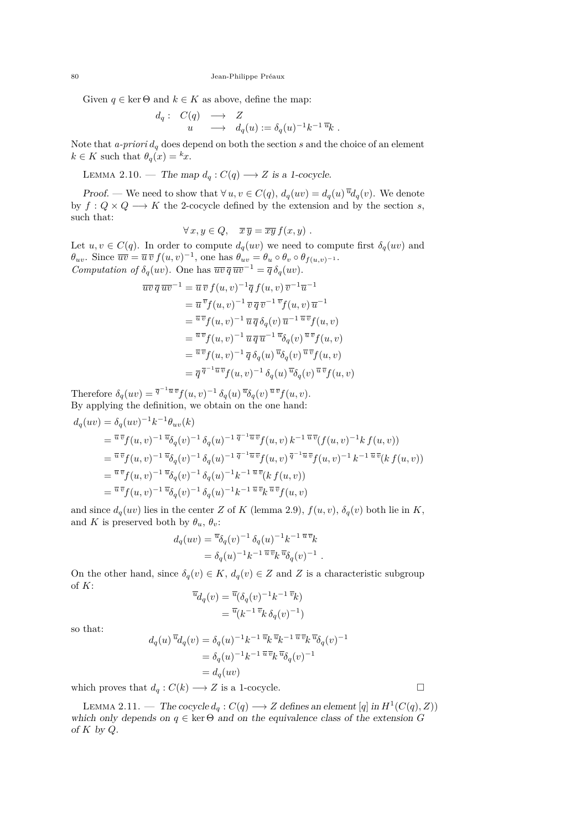Given  $q \in \text{ker } \Theta$  and  $k \in K$  as above, define the map:

$$
\begin{array}{rcl}\nd_q: & C(q) & \longrightarrow & Z \\
u & \longrightarrow & d_q(u) := \delta_q(u)^{-1}k^{-1}\,\overline{u}_k .\n\end{array}
$$

Note that  $\alpha$ -priori  $d_q$  does depend on both the section  $s$  and the choice of an element  $k \in K$  such that  $\theta_q(x) = kx$ .

LEMMA 2.10. — The map  $d_q: C(q) \longrightarrow Z$  is a 1-cocycle.

Proof. — We need to show that  $\forall u, v \in C(q)$ ,  $d_q(uv) = d_q(u)^{\overline{u}} d_q(v)$ . We denote by  $f: Q \times Q \longrightarrow K$  the 2-cocycle defined by the extension and by the section *s*, such that:

$$
\forall x, y \in Q, \quad \overline{x}\,\overline{y} = \overline{xy}\,f(x,y) \ .
$$

Let  $u, v \in C(q)$ . In order to compute  $d_q(uv)$  we need to compute first  $\delta_q(uv)$  and  $\theta_{uv}$ . Since  $\overline{uv} = \overline{u} \,\overline{v} \, f(u,v)^{-1}$ , one has  $\theta_{uv} = \theta_u \circ \theta_v \circ \theta_{f(u,v)^{-1}}$ . *Computation of*  $\delta_q(uv)$ *.* One has  $\overline{uv} \, \overline{q} \, \overline{uv}^{-1} = \overline{q} \, \delta_q(uv)$ *.* 

$$
\overline{uv}\,\overline{q}\,\overline{uv}^{-1} = \overline{u}\,\overline{v}\,f(u,v)^{-1}\overline{q}\,f(u,v)\,\overline{v}^{-1}\overline{u}^{-1}
$$
\n
$$
= \overline{u}\,\overline{v}f(u,v)^{-1}\,\overline{v}\,\overline{q}\,\overline{v}^{-1}\,\overline{v}f(u,v)\,\overline{u}^{-1}
$$
\n
$$
= \overline{u}\,\overline{v}f(u,v)^{-1}\,\overline{u}\,\overline{q}\,\delta_q(v)\,\overline{u}^{-1}\,\overline{u}\,\overline{v}f(u,v)
$$
\n
$$
= \overline{u}\,\overline{v}f(u,v)^{-1}\,\overline{u}\,\overline{q}\,\overline{u}^{-1}\,\overline{u}\delta_q(v)\,\overline{u}\,\overline{v}f(u,v)
$$
\n
$$
= \overline{u}\,\overline{v}f(u,v)^{-1}\,\overline{q}\,\delta_q(u)\,\overline{u}\delta_q(v)\,\overline{u}\,\overline{v}f(u,v)
$$
\n
$$
= \overline{q}\,\overline{q}^{-1}\overline{u}\,\overline{v}f(u,v)^{-1}\,\delta_q(u)\,\overline{u}\delta_q(v)\,\overline{u}\,\overline{v}f(u,v)
$$

Therefore  $\delta_q(uv) = \overline{q}^{-1}\overline{u}\,\overline{v}f(u,v)^{-1}\,\delta_q(u)\,\overline{u}\delta_q(v)\,\overline{u}\,\overline{v}f(u,v)$ . By applying the definition, we obtain on the one hand:

$$
d_q(uv) = \delta_q(uv)^{-1}k^{-1}\theta_{uv}(k)
$$
  
\n
$$
= \frac{\overline{u}\,\overline{v}}{v}f(u,v)^{-1}\,\overline{v}\delta_q(v)^{-1}\,\delta_q(u)^{-1}\,\overline{q}^{-1}\overline{u}\,\overline{v}}f(u,v)\,k^{-1}\,\overline{u}\,\overline{v}(f(u,v)^{-1}k\,f(u,v))
$$
  
\n
$$
= \frac{\overline{u}\,\overline{v}}{v}f(u,v)^{-1}\,\overline{v}\delta_q(v)^{-1}\,\delta_q(u)^{-1}\,\overline{q}^{-1}\overline{u}\,\overline{v}}f(u,v)\,\overline{q}^{-1}\overline{u}\,\overline{v}}f(u,v)^{-1}\,k^{-1}\,\overline{u}\,\overline{v}(k\,f(u,v))
$$
  
\n
$$
= \frac{\overline{u}\,\overline{v}}{v}f(u,v)^{-1}\,\overline{v}\delta_q(v)^{-1}\,\delta_q(u)^{-1}k^{-1}\,\overline{u}\,\overline{v}(k\,f(u,v))
$$
  
\n
$$
= \frac{\overline{u}\,\overline{v}}{v}f(u,v)^{-1}\,\overline{v}\delta_q(v)^{-1}\,\delta_q(u)^{-1}k^{-1}\,\overline{u}\,\overline{v}k\,\overline{u}\,\overline{v}}f(u,v)
$$

and since  $d_q(uv)$  lies in the center *Z* of *K* (lemma [2.9\)](#page-7-0),  $f(u, v)$ ,  $\delta_q(v)$  both lie in *K*, and *K* is preserved both by  $\theta_u$ ,  $\theta_v$ :

$$
d_q(uv) = \overline{\mathcal{V}}_{q}(v)^{-1} \delta_q(u)^{-1} k^{-1} \overline{\mathcal{V}}_{q}^{*}
$$
  
=  $\delta_q(u)^{-1} k^{-1} \overline{\mathcal{V}}_{q}^{*} \overline{\mathcal{V}}_{q}(v)^{-1}$ .

On the other hand, since  $\delta_q(v) \in K$ ,  $d_q(v) \in Z$  and Z is a characteristic subgroup of *K*: *u*

$$
d_q(v) = \frac{\overline{u}(\delta_q(v))^{-1}k^{-1}\overline{v}_k}{\overline{u}(k^{-1}\overline{v}_k\delta_q(v))^{-1}}
$$

so that:

$$
d_q(u)^{\overline{u}}d_q(v) = \delta_q(u)^{-1}k^{-1\overline{u}}k^{\overline{u}}k^{-1\overline{u}}\overline{v}k^{\overline{u}}\delta_q(v)^{-1}
$$
  

$$
= \delta_q(u)^{-1}k^{-1\overline{u}}\overline{v}k^{\overline{u}}\delta_q(v)^{-1}
$$
  

$$
= d_q(uv)
$$

which proves that  $d_q: C(k) \longrightarrow Z$  is a 1-cocycle.

LEMMA 2.11. — The cocycle  $d_q$  :  $C(q)$  →  $Z$  defines an element [q] in  $H^1(C(q), Z)$ ) which only depends on  $q \in \text{ker } \Theta$  and on the equivalence class of the extension *G* of *K* by *Q*.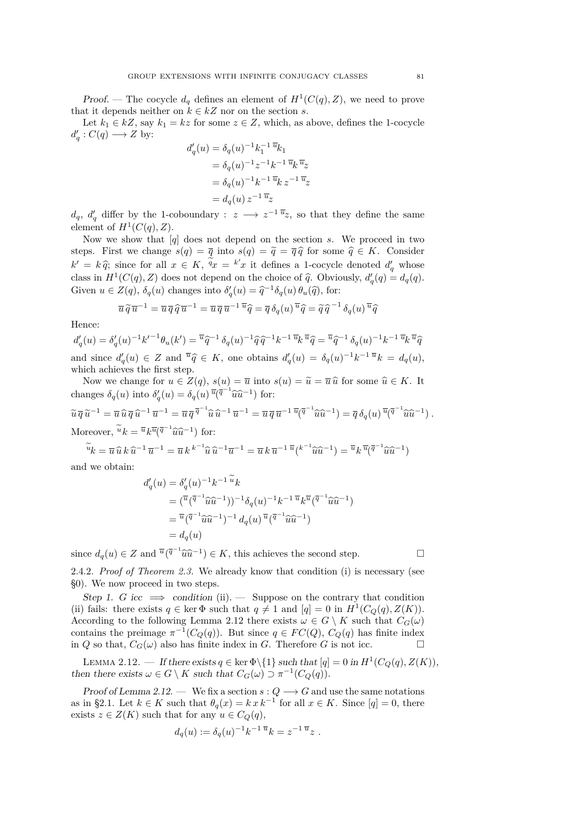<span id="page-9-0"></span>Proof. — The cocycle  $d_q$  defines an element of  $H^1(C(q), Z)$ , we need to prove that it depends neither on  $k \in k \mathbb{Z}$  nor on the section *s*.

Let  $k_1 \in kZ$ , say  $k_1 = kz$  for some  $z \in Z$ , which, as above, defines the 1-cocycle  $d'_q: C(q) \longrightarrow Z$  by:

$$
d'_{q}(u) = \delta_{q}(u)^{-1}k_{1}^{-1}\overline{u}_{k_{1}}
$$
  
=  $\delta_{q}(u)^{-1}z^{-1}k^{-1}\overline{u}_{k}\overline{u}_{z}$   
=  $\delta_{q}(u)^{-1}k^{-1}\overline{u}_{k}z^{-1}\overline{u}_{z}$   
=  $d_{q}(u)z^{-1}\overline{u}_{z}$ 

 $d_q$ ,  $d'_q$  differ by the 1-coboundary : *z* →  $z^{-1}$ <sup> $\overline{u}_z$ , so that they define the same</sup> element of  $H^1(C(q), Z)$ .

Now we show that [*q*] does not depend on the section *s*. We proceed in two steps. First we change  $s(q) = \overline{q}$  into  $s(q) = \overline{q} = \overline{q} \hat{q}$  for some  $\hat{q} \in K$ . Consider  $k' = k \hat{q}$ ; since for all  $x \in K$ ,  $\tilde{q}_x = k'x$  it defines a 1-cocycle denoted  $d'_q$  whose<br>class in  $H^1(C(x), Z)$  does not denoted on the shairs of  $\hat{z}$ . Obviously  $d'(z) = d(z)$ class in  $H^1(C(q), Z)$  does not depend on the choice of  $\hat{q}$ . Obviously,  $d'_q(q) = d_q(q)$ . Given  $u \in Z(q)$ ,  $\delta_q(u)$  changes into  $\delta'_q(u) = \hat{q}^{-1} \delta_q(u) \theta_u(\hat{q})$ , for:

$$
\overline{u}\,\overline{\tilde{q}}\,\overline{u}^{-1} = \overline{u}\,\overline{q}\,\overline{\tilde{q}}\,\overline{u}^{-1} = \overline{u}\,\overline{q}\,\overline{u}^{-1}\,\overline{u}\,\overline{\tilde{q}} = \overline{q}\,\delta_q(u)\,\overline{u}\,\widehat{q} = \widetilde{q}\,\widehat{q}^{-1}\,\delta_q(u)\,\overline{u}\,\widehat{q}
$$

Hence:

 $d'_q(u) = \delta'_q(u)^{-1} k'^{-1} \theta_u(k') = \overline{u} \hat{q}^{-1} \delta_q(u)^{-1} \hat{q} \hat{q}^{-1} k^{-1} \overline{u} k \overline{u} \hat{q} = \overline{u} \hat{q}^{-1} \delta_q(u)^{-1} k^{-1} \overline{u} k \overline{u} \hat{q}$ and since  $d'_{q}(u) \in Z$  and  $\overline{u}_{\widehat{q}} \in K$ , one obtains  $d'_{q}(u) = \delta_{q}(u)^{-1}k^{-1}\overline{u}_{k} = d_{q}(u)$ , which achieves the first step.

Now we change for  $u \in Z(q)$ ,  $s(u) = \overline{u}$  into  $s(u) = \widetilde{u} = \overline{u} \widehat{u}$  for some  $\widehat{u} \in K$ . It changes  $\delta_q(u)$  into  $\delta'_q(u) = \delta_q(u) \overline{u}(\overline{q}^{-1}\widehat{u}\widehat{u}^{-1})$  for:

$$
\widetilde{u}\,\overline{q}\,\widetilde{u}^{-1} = \overline{u}\,\widehat{u}\,\overline{q}\,\widehat{u}^{-1}\,\overline{u}^{-1} = \overline{u}\,\overline{q}\,\overline{q}^{-1}\widehat{u}\,\widehat{u}^{-1}\,\overline{u}^{-1} = \overline{u}\,\overline{q}\,\overline{u}^{-1}\,\overline{u}\overline{(q}^{-1}\widehat{u}\widehat{u}^{-1}) = \overline{q}\,\delta_q(u)\,\overline{u}\overline{(q}^{-1}\widehat{u}\widehat{u}^{-1})\,.
$$
  
Moreover, 
$$
\widetilde{u}\,k = \overline{u}\,k\overline{u}\overline{(q}^{-1}\widehat{u}\widehat{u}^{-1})\,\text{ for:}
$$

$$
\widetilde{u}_k = \overline{u}\,\widehat{u}\,k\,\widehat{u}^{-1}\,\overline{u}^{-1} = \overline{u}\,k^{\,k^{-1}}\widehat{u}\,\widehat{u}^{-1}\overline{u}^{-1} = \overline{u}\,k\,\overline{u}^{-1}\,\overline{u}\,(^{k^{-1}}\widehat{u}\widehat{u}^{-1}) = \overline{u}\,k^{\,}\overline{u}(\overline{q}^{-1}\widehat{u}\widehat{u}^{-1})
$$

and we obtain:

$$
d'_{q}(u) = \delta'_{q}(u)^{-1}k^{-1}\tilde{u}^{n}k
$$
  
=  $(\bar{u}(\bar{q}^{-1}\hat{u}\hat{u}^{-1}))^{-1}\delta_{q}(u)^{-1}k^{-1}\bar{u}^{n}k\bar{u}(\bar{q}^{-1}\hat{u}\hat{u}^{-1})$   
=  $\bar{u}(\bar{q}^{-1}\hat{u}\hat{u}^{-1})^{-1}d_{q}(u)\bar{u}(\bar{q}^{-1}\hat{u}\hat{u}^{-1})$   
=  $d_{q}(u)$ 

since  $d_q(u) \in Z$  and  $\overline{u}(\overline{q}^{-1}\widehat{u}\widehat{u}^{-1}) \in K$ , this achieves the second step.

2.4.2. *Proof of Theorem [2.3.](#page-6-0)* We already know that condition (i) is necessary (see [§0\)](#page-2-0). We now proceed in two steps.

Step 1. *G* icc  $\implies$  condition (ii).  $\implies$  Suppose on the contrary that condition (ii) fails: there exists  $q \in \text{ker } \Phi$  such that  $q \neq 1$  and  $[q] = 0$  in  $H^1(C_Q(q), Z(K))$ . According to the following Lemma 2.12 there exists  $\omega \in G \setminus K$  such that  $C_G(\omega)$ contains the preimage  $\pi^{-1}(C_Q(q))$ . But since  $q \in FC(Q)$ ,  $C_Q(q)$  has finite index in *Q* so that,  $C_G(\omega)$  also has finite index in *G*. Therefore *G* is not icc.

LEMMA 2.12. — If there exists  $q \in \text{ker } \Phi \setminus \{1\}$  such that  $[q] = 0$  in  $H^1(C_Q(q), Z(K))$ , then there exists  $\omega \in G \setminus K$  such that  $C_G(\omega) \supset \pi^{-1}(C_Q(q)).$ 

Proof of Lemma 2.12. — We fix a section  $s: Q \longrightarrow G$  and use the same notations as in [§2.1.](#page-5-0) Let  $k \in K$  such that  $\theta_q(x) = k x k^{-1}$  for all  $x \in K$ . Since  $[q] = 0$ , there exists  $z \in Z(K)$  such that for any  $u \in C_Q(q)$ ,

$$
d_q(u) := \delta_q(u)^{-1} k^{-1} \overline{u} k = z^{-1} \overline{u} z .
$$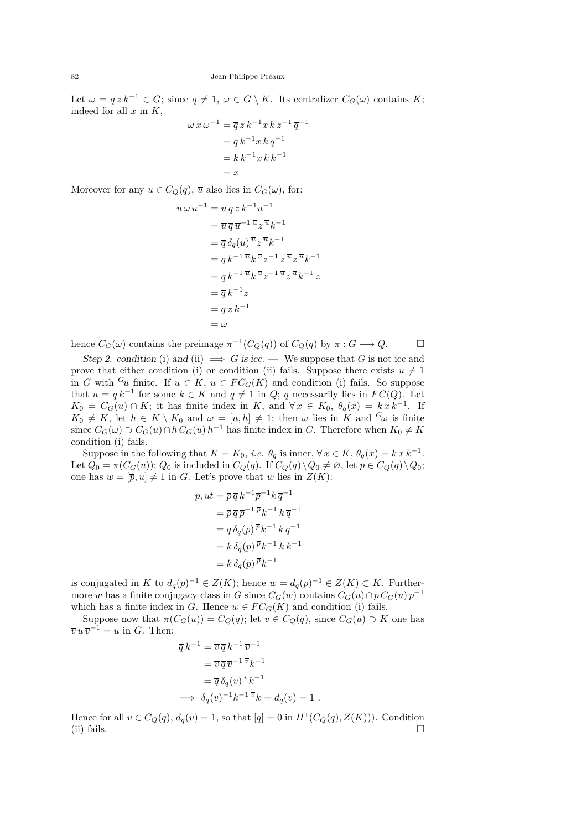Let  $\omega = \overline{q} z k^{-1} \in G$ ; since  $q \neq 1$ ,  $\omega \in G \setminus K$ . Its centralizer  $C_G(\omega)$  contains K; indeed for all *x* in *K*,

$$
\omega x \omega^{-1} = \overline{q} z k^{-1} x k z^{-1} \overline{q}^{-1}
$$

$$
= \overline{q} k^{-1} x k \overline{q}^{-1}
$$

$$
= k k^{-1} x k k^{-1}
$$

$$
= x
$$

Moreover for any  $u \in C_Q(q)$ ,  $\overline{u}$  also lies in  $C_G(\omega)$ , for:

$$
\overline{u} \omega \overline{u}^{-1} = \overline{u} \overline{q} z k^{-1} \overline{u}^{-1}
$$
  
\n
$$
= \overline{u} \overline{q} \overline{u}^{-1} \overline{u} z \overline{u} k^{-1}
$$
  
\n
$$
= \overline{q} \delta_q(u) \overline{u} z \overline{u} k^{-1}
$$
  
\n
$$
= \overline{q} k^{-1} \overline{u} k \overline{u} z^{-1} z \overline{u} z \overline{u} k^{-1}
$$
  
\n
$$
= \overline{q} k^{-1} \overline{u} k \overline{u} z^{-1} \overline{u} z \overline{u} k^{-1} z
$$
  
\n
$$
= \overline{q} k^{-1} z
$$
  
\n
$$
= \overline{q} z k^{-1}
$$
  
\n
$$
= \omega
$$

hence  $C_G(\omega)$  contains the preimage  $\pi^{-1}(C_Q(q))$  of  $C_Q(q)$  by  $\pi: G \longrightarrow Q$ .

Step 2. condition (i) and (ii)  $\implies G$  is icc. — We suppose that G is not icc and prove that either condition (i) or condition (ii) fails. Suppose there exists  $u \neq 1$ in *G* with <sup>*G*</sup>*u* finite. If  $u \in K$ ,  $u \in FC_G(K)$  and condition (i) fails. So suppose that  $u = \overline{q} k^{-1}$  for some  $k \in K$  and  $q \neq 1$  in *Q*; *q* necessarily lies in *FC(Q)*. Let  $K_0 = C_G(u) \cap K$ ; it has finite index in *K*, and  $\forall x \in K_0$ ,  $\theta_q(x) = k x k^{-1}$ . If  $K_0 \neq K$ , let  $h \in K \setminus K_0$  and  $\omega = [u, h] \neq 1$ ; then  $\omega$  lies in *K* and  ${}^G\omega$  is finite since  $C_G(\omega) \supset C_G(u) \cap h C_G(u) h^{-1}$  has finite index in *G*. Therefore when  $K_0 \neq K$ condition (i) fails.

Suppose in the following that  $K = K_0$ , *i.e.*  $\theta_q$  is inner,  $\forall x \in K$ ,  $\theta_q(x) = k x k^{-1}$ . Let  $Q_0 = \pi(C_G(u));$   $Q_0$  is included in  $C_Q(q)$ . If  $C_Q(q) \setminus Q_0 \neq \emptyset$ , let  $p \in C_Q(q) \setminus Q_0$ ; one has  $w = [\overline{p}, u] \neq 1$  in *G*. Let's prove that *w* lies in  $Z(K)$ :

$$
p, ut = \overline{p} \, \overline{q} \, k^{-1} \overline{p}^{-1} k \, \overline{q}^{-1}
$$
  
=  $\overline{p} \, \overline{q} \, \overline{p}^{-1} \, \overline{p} \, k^{-1} \, k \, \overline{q}^{-1}$   
=  $\overline{q} \, \delta_q(p) \, \overline{p} \, k^{-1} \, k \, \overline{q}^{-1}$   
=  $k \, \delta_q(p) \, \overline{p} \, k^{-1} \, k \, k^{-1}$   
=  $k \, \delta_q(p) \, \overline{p} \, k^{-1}$ 

is conjugated in *K* to  $d_q(p)^{-1} \in Z(K)$ ; hence  $w = d_q(p)^{-1} \in Z(K) \subset K$ . Furthermore *w* has a finite conjugacy class in *G* since  $C_G(w)$  contains  $C_G(u) \cap \overline{p} C_G(u) \overline{p}^{-1}$ which has a finite index in *G*. Hence  $w \in FC_G(K)$  and condition (i) fails.

Suppose now that  $\pi(C_G(u)) = C_Q(q)$ ; let  $v \in C_Q(q)$ , since  $C_G(u) \supset K$  one has  $\overline{v} u \overline{v}^{-1} = u$  in *G*. Then:

$$
\overline{q} k^{-1} = \overline{v} \overline{q} k^{-1} \overline{v}^{-1}
$$
  
\n
$$
= \overline{v} \overline{q} \overline{v}^{-1} \overline{v} k^{-1}
$$
  
\n
$$
= \overline{q} \delta_q(v) \overline{v} k^{-1}
$$
  
\n
$$
\implies \delta_q(v)^{-1} k^{-1} \overline{v} k = d_q(v) = 1.
$$

Hence for all  $v \in C_Q(q)$ ,  $d_q(v) = 1$ , so that  $[q] = 0$  in  $H^1(C_Q(q), Z(K))$ ). Condition (ii) fails.  $\square$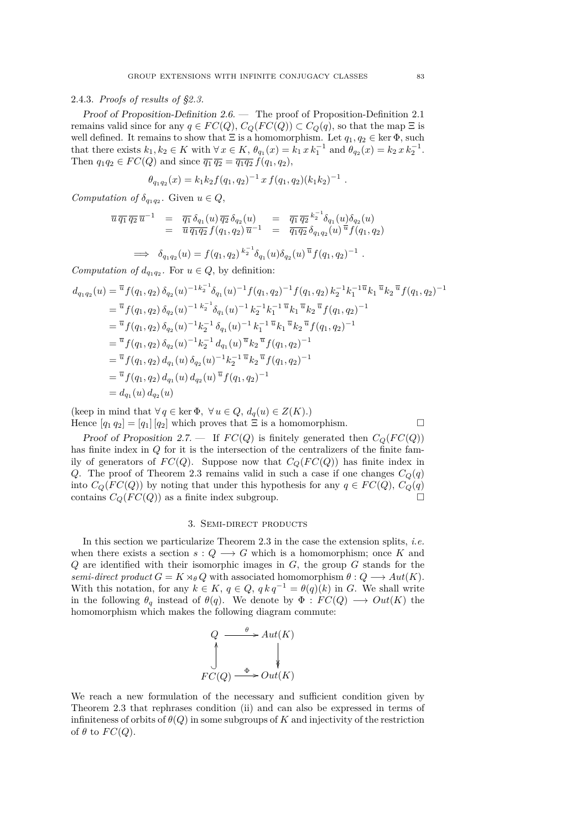# <span id="page-11-0"></span>2.4.3. *Proofs of results of [§2.3.](#page-6-0)*

Proof of Proposition-Definition [2.6.](#page-6-0) — The proof of Proposition-Definition [2.1](#page-5-0) remains valid since for any  $q \in FC(Q)$ ,  $C_Q(FC(Q)) \subset C_Q(q)$ , so that the map  $\Xi$  is well defined. It remains to show that  $\Xi$  is a homomorphism. Let  $q_1, q_2 \in \ker \Phi$ , such that there exists  $k_1, k_2 \in K$  with  $\forall x \in K$ ,  $\theta_{q_1}(x) = k_1 x k_1^{-1}$  and  $\theta_{q_2}(x) = k_2 x k_2^{-1}$ . Then  $q_1q_2 \in FC(Q)$  and since  $\overline{q_1} \overline{q_2} = \overline{q_1q_2} f(q_1, q_2)$ ,

$$
\theta_{q_1q_2}(x) = k_1k_2f(q_1,q_2)^{-1} x f(q_1,q_2)(k_1k_2)^{-1}
$$

*Computation of*  $\delta_{q_1q_2}$ . Given  $u \in Q$ ,

$$
\overline{u}\,\overline{q_1}\,\overline{q_2}\,\overline{u}^{-1} = \overline{q_1}\,\delta_{q_1}(u)\,\overline{q_2}\,\delta_{q_2}(u) = \overline{q_1}\,\overline{q_2}\,k_2^{-1}\delta_{q_1}(u)\delta_{q_2}(u) \n= \overline{u}\,\overline{q_1q_2}\,f(q_1,q_2)\,\overline{u}^{-1} = \overline{q_1q_2}\,\delta_{q_1q_2}(u)\,\overline{u}\,f(q_1,q_2)
$$

$$
\implies \delta_{q_1q_2}(u) = f(q_1,q_2)^{k_2^{-1}} \delta_{q_1}(u) \delta_{q_2}(u)^{\overline{u}} f(q_1,q_2)^{-1} .
$$

*Computation of*  $d_{q_1q_2}$ . For  $u \in Q$ , by definition:

$$
d_{q_1q_2}(u) = \frac{\overline{u}}{f(q_1, q_2)} \delta_{q_2}(u)^{-1} k_2^{-1} \delta_{q_1}(u)^{-1} f(q_1, q_2)^{-1} f(q_1, q_2) k_2^{-1} k_1^{-1} \overline{u} k_1 \overline{u} k_2 \overline{u} f(q_1, q_2)^{-1}
$$
  
\n
$$
= \frac{\overline{u}}{f(q_1, q_2)} \delta_{q_2}(u)^{-1} k_2^{-1} \delta_{q_1}(u)^{-1} k_2^{-1} k_1^{-1} \overline{u} k_1 \overline{u} k_2 \overline{u} f(q_1, q_2)^{-1}
$$
  
\n
$$
= \overline{u} f(q_1, q_2) \delta_{q_2}(u)^{-1} k_2^{-1} \delta_{q_1}(u)^{-1} k_1^{-1} \overline{u} k_1 \overline{u} k_2 \overline{u} f(q_1, q_2)^{-1}
$$
  
\n
$$
= \overline{u} f(q_1, q_2) \delta_{q_2}(u)^{-1} k_2^{-1} d_{q_1}(u) \overline{u} k_2 \overline{u} f(q_1, q_2)^{-1}
$$
  
\n
$$
= \overline{u} f(q_1, q_2) d_{q_1}(u) \delta_{q_2}(u)^{-1} k_2^{-1} \overline{u} k_2 \overline{u} f(q_1, q_2)^{-1}
$$
  
\n
$$
= \overline{u} f(q_1, q_2) d_{q_1}(u) d_{q_2}(u) \overline{u} f(q_1, q_2)^{-1}
$$
  
\n
$$
= d_{q_1}(u) d_{q_2}(u)
$$

(keep in mind that  $\forall q \in \text{ker } \Phi$ ,  $\forall u \in Q$ ,  $d_q(u) \in Z(K)$ .) Hence  $[q_1 q_2] = [q_1] [q_2]$  which proves that  $\Xi$  is a homomorphism.

Proof of Proposition [2.7.](#page-7-0) — If  $FC(Q)$  is finitely generated then  $C_Q(FC(Q))$ has finite index in *Q* for it is the intersection of the centralizers of the finite family of generators of  $FC(Q)$ . Suppose now that  $C_Q(FC(Q))$  has finite index in *Q*. The proof of Theorem [2.3](#page-6-0) remains valid in such a case if one changes  $C_Q(q)$ into  $C_Q(FC(Q))$  by noting that under this hypothesis for any  $q \in FC(Q)$ ,  $C_Q(q)$ contains  $C_Q(FC(Q))$  as a finite index subgroup.

# 3. Semi-direct products

In this section we particularize Theorem [2.3](#page-6-0) in the case the extension splits, *i.e.* when there exists a section  $s: Q \longrightarrow G$  which is a homomorphism; once K and *Q* are identified with their isomorphic images in *G*, the group *G* stands for the *semi-direct product*  $G = K \rtimes_{\theta} Q$  with associated homomorphism  $\theta : Q \longrightarrow Aut(K)$ . With this notation, for any  $k \in K$ ,  $q \in Q$ ,  $q k q^{-1} = \theta(q)(k)$  in *G*. We shall write in the following  $\theta_q$  instead of  $\theta(q)$ . We denote by  $\Phi : FC(Q) \longrightarrow Out(K)$  the homomorphism which makes the following diagram commute:

$$
Q \xrightarrow{\theta} Aut(K)
$$
  

$$
\downarrow^{\phi} \qquad \qquad \downarrow^{\phi}
$$
  

$$
FC(Q) \xrightarrow{\Phi} Out(K)
$$

We reach a new formulation of the necessary and sufficient condition given by Theorem [2.3](#page-6-0) that rephrases condition (ii) and can also be expressed in terms of infiniteness of orbits of  $\theta(Q)$  in some subgroups of K and injectivity of the restriction of  $\theta$  to  $FC(Q)$ .

*.*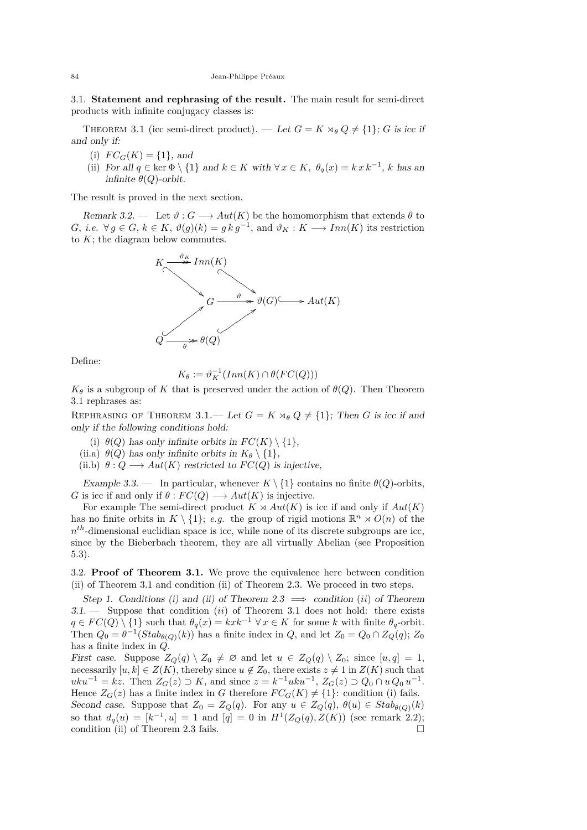<span id="page-12-0"></span>3.1. **Statement and rephrasing of the result.** The main result for semi-direct products with infinite conjugacy classes is:

THEOREM 3.1 (icc semi-direct product). — Let  $G = K \rtimes_{\theta} Q \neq \{1\}$ ; *G* is icc if and only if:

- (i)  $FC_G(K) = \{1\}$ , and
- (ii) For all  $q \in \text{ker } \Phi \setminus \{1\}$  and  $k \in K$  with  $\forall x \in K$ ,  $\theta_q(x) = k x k^{-1}$ , *k* has an infinite  $\theta(Q)$ -orbit.

The result is proved in the next section.

Remark 3.2. — Let  $\vartheta$ :  $G \longrightarrow Aut(K)$  be the homomorphism that extends  $\theta$  to *G*, *i.e.* ∀ *g* ∈ *G*,  $k \in K$ ,  $\vartheta(g)(k) = g k g^{-1}$ , and  $\vartheta_K : K \longrightarrow Inn(K)$  its restriction to *K*; the diagram below commutes.



Define:

$$
K_{\theta} := \vartheta_K^{-1}(Inn(K) \cap \theta(FC(Q)))
$$

 $K_{\theta}$  is a subgroup of *K* that is preserved under the action of  $\theta(Q)$ . Then Theorem 3.1 rephrases as:

REPHRASING OF THEOREM 3.1.— Let  $G = K \rtimes_{\theta} Q \neq \{1\}$ ; Then *G* is icc if and only if the following conditions hold:

(i)  $\theta(Q)$  has only infinite orbits in  $FC(K) \setminus \{1\}$ ,

(ii.a)  $\theta(Q)$  has only infinite orbits in  $K_{\theta} \setminus \{1\},$ 

(ii.b)  $\theta: Q \longrightarrow Aut(K)$  restricted to  $FC(Q)$  is injective,

Example 3.3. — In particular, whenever  $K \setminus \{1\}$  contains no finite  $\theta(Q)$ -orbits, *G* is icc if and only if  $\theta$  :  $FC(Q) \longrightarrow Aut(K)$  is injective.

For example The semi-direct product  $K \rtimes Aut(K)$  is icc if and only if  $Aut(K)$ has no finite orbits in  $K \setminus \{1\}$ ; *e.g.* the group of rigid motions  $\mathbb{R}^n \times O(n)$  of the *n th*-dimensional euclidian space is icc, while none of its discrete subgroups are icc, since by the Bieberbach theorem, they are all virtually Abelian (see Proposition [5.3\)](#page-15-0).

3.2. **Proof of Theorem 3.1.** We prove the equivalence here between condition (ii) of Theorem 3.1 and condition (ii) of Theorem [2.3.](#page-6-0) We proceed in two steps.

Step 1. Conditions (i) and (ii) of Theorem [2.3](#page-6-0)  $\implies$  condition (*ii*) of Theorem 3.1. — Suppose that condition (*ii*) of Theorem 3.1 does not hold: there exists  $q \in FC(Q) \setminus \{1\}$  such that  $\theta_q(x) = kxk^{-1} \ \forall x \in K$  for some *k* with finite  $\theta_q$ -orbit. Then  $Q_0 = \theta^{-1}(Stab_{\theta(Q)}(k))$  has a finite index in  $Q$ , and let  $Z_0 = Q_0 \cap Z_Q(q)$ ;  $Z_0$ has a finite index in *Q*.

First case. Suppose  $Z_Q(q) \setminus Z_0 \neq \emptyset$  and let  $u \in Z_Q(q) \setminus Z_0$ ; since  $[u, q] = 1$ , necessarily  $[u, k] \in Z(K)$ , thereby since  $u \notin Z_0$ , there exists  $z \neq 1$  in  $Z(K)$  such that  $uku^{-1} = kz$ . Then  $Z_G(z) \supset K$ , and since  $z = k^{-1}uku^{-1}$ ,  $Z_G(z) \supset Q_0 \cap uQ_0u^{-1}$ . Hence  $Z_G(z)$  has a finite index in *G* therefore  $FC_G(K) \neq \{1\}$ : condition (i) fails. Second case. Suppose that  $Z_0 = Z_Q(q)$ . For any  $u \in Z_Q(q)$ ,  $\theta(u) \in Stab_{\theta(Q)}(k)$ so that  $d_q(u) = [k^{-1}, u] = 1$  and  $[q] = 0$  in  $H^1(Z_Q(q), Z(K))$  (see remark [2.2\)](#page-5-0); condition (ii) of Theorem [2.3](#page-6-0) fails.  $\square$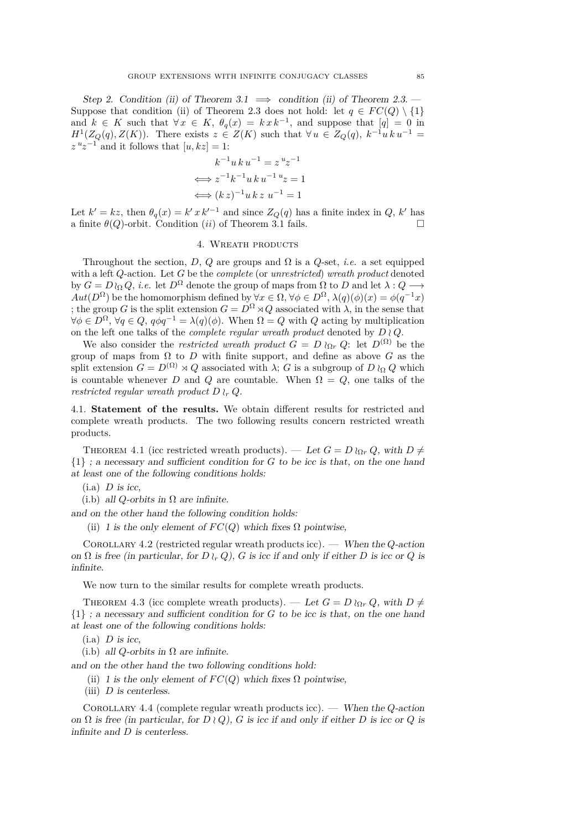<span id="page-13-0"></span>Step 2. Condition (ii) of Theorem [3.1](#page-12-0)  $\implies$  condition (ii) of Theorem [2.3.](#page-6-0) Suppose that condition (ii) of Theorem [2.3](#page-6-0) does not hold: let  $q \in FC(Q) \setminus \{1\}$ and  $k \in K$  such that  $\forall x \in K$ ,  $\theta_q(x) = k x k^{-1}$ , and suppose that  $[q] = 0$  in  $H^1(Z_Q(q), Z(K))$ . There exists  $z \in Z(K)$  such that  $\forall u \in Z_Q(q), k^{-1}u k u^{-1} =$  $z^{u}z^{-1}$  and it follows that  $[u, kz] = 1$ :

$$
k^{-1}uk u^{-1} = z^{u}z^{-1}
$$

$$
\iff z^{-1}k^{-1}uk u^{-1}u z = 1
$$

$$
\iff (k z)^{-1}uk z u^{-1} = 1
$$

Let  $k' = kz$ , then  $\theta_q(x) = k' x k'^{-1}$  and since  $Z_Q(q)$  has a finite index in *Q*,  $k'$  has a finite  $\theta(Q)$ -orbit. Condition (*ii*) of Theorem [3.1](#page-12-0) fails.

# 4. Wreath products

Throughout the section, *D*, *Q* are groups and  $\Omega$  is a *Q*-set, *i.e.* a set equipped with a left *Q*-action. Let *G* be the *complete* (or *unrestricted*) *wreath product* denoted by *G* = *Dl*<sub>Ω</sub>*Q*, *i.e.* let *D*<sup>Ω</sup> denote the group of maps from Ω to *D* and let  $\lambda$  : *Q* → *Aut*( $D^{\Omega}$ ) be the homomorphism defined by  $\forall x \in \Omega$ ,  $\forall \phi \in D^{\Omega}$ ,  $\lambda(q)(\phi)(x) = \phi(q^{-1}x)$ ; the group *G* is the split extension  $G = D^{\Omega} \rtimes Q$  associated with  $\lambda$ , in the sense that  $∀\phi ∈ D^{\Omega}, ∀q ∈ Q, q\phi q^{-1} = λ(q)(\phi)$ . When  $\Omega = Q$  with *Q* acting by multiplication on the left one talks of the *complete regular wreath product* denoted by  $D \wr Q$ .

We also consider the *restricted wreath product*  $G = D \wr_{\Omega_r} Q$ : let  $D^{(\Omega)}$  be the group of maps from  $\Omega$  to  $D$  with finite support, and define as above  $G$  as the split extension  $G = D^{(\Omega)} \rtimes Q$  associated with  $\lambda$ ; *G* is a subgroup of *D*  $\iota_{\Omega} Q$  which is countable whenever *D* and *Q* are countable. When  $\Omega = Q$ , one talks of the *restricted regular wreath product*  $D \nvert_{r} Q$ .

4.1. **Statement of the results.** We obtain different results for restricted and complete wreath products. The two following results concern restricted wreath products.

THEOREM 4.1 (icc restricted wreath products). — Let  $G = D \wr_{\Omega_r} Q$ , with  $D \neq$ {1} ; a necessary and sufficient condition for *G* to be icc is that, on the one hand at least one of the following conditions holds:

- $(i.a)$  *D* is icc,
- (i.b) all *Q*-orbits in  $\Omega$  are infinite.

and on the other hand the following condition holds:

(ii) 1 is the only element of  $FC(Q)$  which fixes  $\Omega$  pointwise,

Corollary 4.2 (restricted regular wreath products icc). — When the *Q*-action on  $\Omega$  is free (in particular, for  $D \wr_r Q$ ),  $G$  is icc if and only if either  $D$  is icc or  $Q$  is infinite.

We now turn to the similar results for complete wreath products.

THEOREM 4.3 (icc complete wreath products). — Let  $G = D \nvert_{\Omega_r} Q$ , with  $D \neq$ {1} ; a necessary and sufficient condition for *G* to be icc is that, on the one hand at least one of the following conditions holds:

 $(i.a)$  *D* is icc,

(i.b) all *Q*-orbits in  $\Omega$  are infinite.

and on the other hand the two following conditions hold:

- (ii) 1 is the only element of  $FC(Q)$  which fixes  $\Omega$  pointwise,
- (iii) *D* is centerless.

Corollary 4.4 (complete regular wreath products icc). — When the *Q*-action on  $\Omega$  is free (in particular, for  $D \wr Q$ ), *G* is icc if and only if either *D* is icc or *Q* is infinite and *D* is centerless.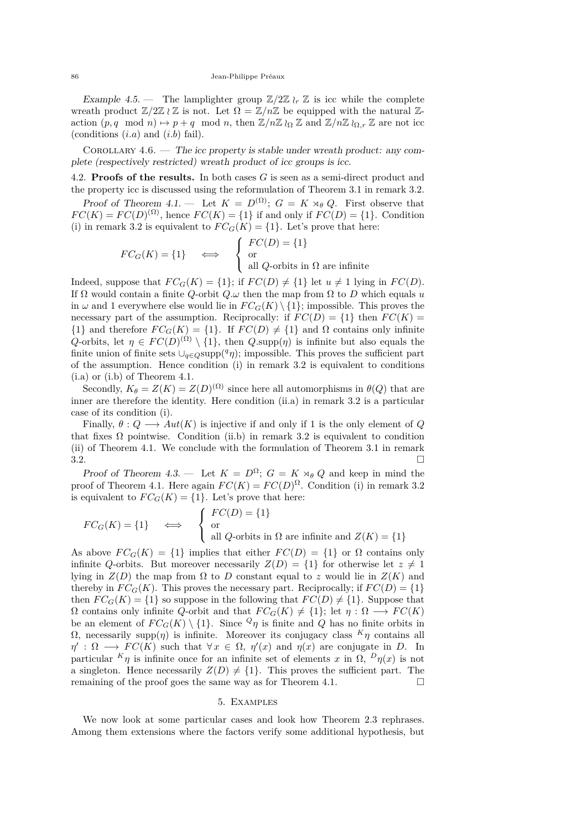<span id="page-14-0"></span>Example 4.5. — The lamplighter group  $\mathbb{Z}/2\mathbb{Z}$   $\chi_r \mathbb{Z}$  is icc while the complete wreath product  $\mathbb{Z}/2\mathbb{Z} \wr \mathbb{Z}$  is not. Let  $\Omega = \mathbb{Z}/n\mathbb{Z}$  be equipped with the natural  $\mathbb{Z}$ action  $(p, q \mod n) \mapsto p + q \mod n$ , then  $\mathbb{Z}/n\mathbb{Z} \wr_{\Omega} \mathbb{Z}$  and  $\mathbb{Z}/n\mathbb{Z} \wr_{\Omega} \mathbb{Z}$  are not icc (conditions (*i.a*) and (*i.b*) fail).

Corollary 4.6. — The icc property is stable under wreath product: any complete (respectively restricted) wreath product of icc groups is icc.

4.2. **Proofs of the results.** In both cases *G* is seen as a semi-direct product and the property icc is discussed using the reformulation of Theorem [3.1](#page-12-0) in remark [3.2.](#page-12-0)

Proof of Theorem [4.1.](#page-13-0) — Let  $K = D^{(\Omega)}$ ;  $G = K \rtimes_{\theta} Q$ . First observe that  $FC(K) = FC(D)^{(\Omega)}$ , hence  $FC(K) = \{1\}$  if and only if  $FC(D) = \{1\}$ . Condition (i) in remark [3.2](#page-12-0) is equivalent to  $FC_G(K) = \{1\}$ . Let's prove that here:

$$
FC_G(K) = \{1\} \iff \begin{cases} FC(D) = \{1\} \\ \text{or} \\ \text{all } Q\text{-orbits in } \Omega \text{ are infinite} \end{cases}
$$

Indeed, suppose that  $FC_G(K) = \{1\}$ ; if  $FC(D) \neq \{1\}$  let  $u \neq 1$  lying in  $FC(D)$ . If Ω would contain a finite *Q*-orbit *Q.ω* then the map from Ω to *D* which equals *u* in  $\omega$  and 1 everywhere else would lie in  $FC_G(K) \setminus \{1\}$ ; impossible. This proves the necessary part of the assumption. Reciprocally: if  $FC(D) = \{1\}$  then  $FC(K)$ {1} and therefore  $FC_G(K) = \{1\}$ . If  $FC(D) \neq \{1\}$  and  $\Omega$  contains only infinite *Q*-orbits, let  $\eta \in FC(D)^{(\Omega)} \setminus \{1\}$ , then *Q*.supp( $\eta$ ) is infinite but also equals the finite union of finite sets  $\bigcup_{q \in Q}$ supp $(q \eta)$ ; impossible. This proves the sufficient part of the assumption. Hence condition (i) in remark [3.2](#page-12-0) is equivalent to conditions (i.a) or (i.b) of Theorem [4.1.](#page-13-0)

Secondly,  $K_{\theta} = Z(K) = Z(D)^{(\Omega)}$  since here all automorphisms in  $\theta(Q)$  that are inner are therefore the identity. Here condition (ii.a) in remark [3.2](#page-12-0) is a particular case of its condition (i).

Finally,  $\theta: Q \longrightarrow Aut(K)$  is injective if and only if 1 is the only element of *Q* that fixes  $\Omega$  pointwise. Condition (ii.b) in remark [3.2](#page-12-0) is equivalent to condition (ii) of Theorem [4.1.](#page-13-0) We conclude with the formulation of Theorem [3.1](#page-12-0) in remark  $3.2.$ 

Proof of Theorem [4.3.](#page-13-0) — Let  $K = D^{\Omega}$ ;  $G = K \rtimes_{\theta} Q$  and keep in mind the proof of Theorem [4.1.](#page-13-0) Here again  $FC(K) = FC(D)^{\Omega}$ . Condition (i) in remark [3.2](#page-12-0) is equivalent to  $FC_G(K) = \{1\}$ . Let's prove that here:

$$
FC_G(K) = \{1\} \qquad \Longleftrightarrow \qquad \left\{ \begin{array}{l} FC(D) = \{1\} \\ \text{or} \\ \text{ all $Q$-orbits in $\Omega$ are infinite and $Z(K) = \{1\}$} \end{array} \right.
$$

As above  $FC_G(K) = \{1\}$  implies that either  $FC(D) = \{1\}$  or  $\Omega$  contains only infinite *Q*-orbits. But moreover necessarily  $Z(D) = \{1\}$  for otherwise let  $z \neq 1$ lying in  $Z(D)$  the map from  $\Omega$  to *D* constant equal to *z* would lie in  $Z(K)$  and thereby in  $FC_G(K)$ . This proves the necessary part. Reciprocally; if  $FC(D) = \{1\}$ then  $FC_G(K) = \{1\}$  so suppose in the following that  $FC(D) \neq \{1\}$ . Suppose that  $\Omega$  contains only infinite *Q*-orbit and that  $FC_G(K) \neq \{1\}$ ; let  $\eta : \Omega \longrightarrow FC(K)$ be an element of  $FC_G(K) \setminus \{1\}$ . Since  $Q_\eta$  is finite and  $Q$  has no finite orbits in Ω, necessarily supp(*η*) is infinite. Moreover its conjugacy class *<sup>K</sup>η* contains all  $\eta' : \Omega \longrightarrow FC(K)$  such that  $\forall x \in \Omega, \eta'(x)$  and  $\eta(x)$  are conjugate in *D*. In particular  $K_{\eta}$  is infinite once for an infinite set of elements *x* in  $\Omega$ ,  $D_{\eta}(x)$  is not a singleton. Hence necessarily  $Z(D) \neq \{1\}$ . This proves the sufficient part. The remaining of the proof goes the same way as for Theorem [4.1.](#page-13-0)  $\Box$ 

#### 5. Examples

We now look at some particular cases and look how Theorem [2.3](#page-6-0) rephrases. Among them extensions where the factors verify some additional hypothesis, but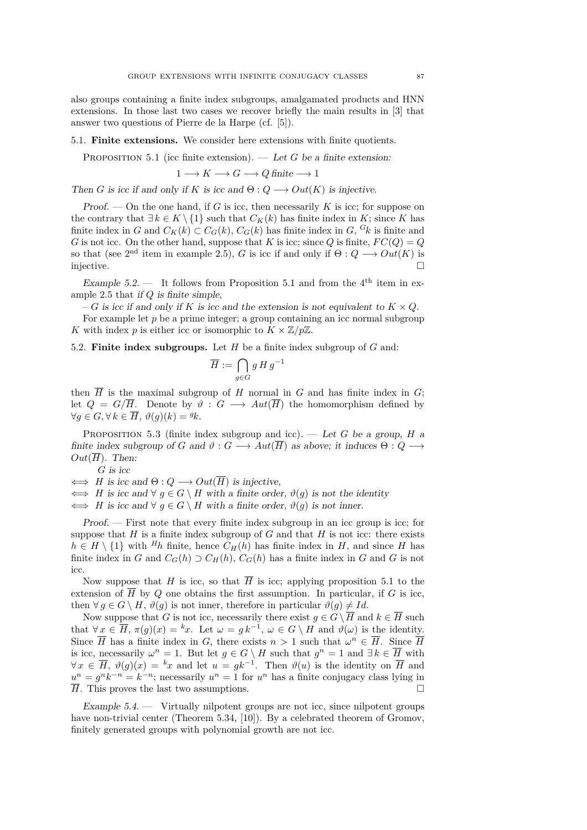<span id="page-15-0"></span>also groups containing a finite index subgroups, amalgamated products and HNN extensions. In those last two cases we recover briefly the main results in [\[3\]](#page-20-0) that answer two questions of Pierre de la Harpe (cf. [\[5\]](#page-20-0)).

5.1. **Finite extensions.** We consider here extensions with finite quotients.

PROPOSITION 5.1 (icc finite extension). — Let  $G$  be a finite extension:

$$
1 \longrightarrow K \longrightarrow G \longrightarrow Q
$$
 finite  $\longrightarrow 1$ 

Then *G* is icc if and only if *K* is icc and  $\Theta: Q \longrightarrow Out(K)$  is injective.

Proof. — On the one hand, if *G* is icc, then necessarily *K* is icc; for suppose on the contrary that  $\exists k \in K \setminus \{1\}$  such that  $C_K(k)$  has finite index in *K*; since *K* has finite index in *G* and  $C_K(k) \subset C_G(k)$ ,  $C_G(k)$  has finite index in *G*, <sup>*G*</sup>*k* is finite and *G* is not icc. On the other hand, suppose that *K* is icc; since *Q* is finite,  $FC(Q) = Q$ so that (see 2<sup>nd</sup> item in example [2.5\)](#page-6-0), *G* is icc if and only if  $\Theta: Q \longrightarrow Out(K)$  is injective.

Example 5.2. — It follows from Proposition 5.1 and from the  $4^{\text{th}}$  item in example [2.5](#page-6-0) that if *Q* is finite simple,

– *G* is icc if and only if *K* is icc and the extension is not equivalent to  $K \times Q$ .

For example let *p* be a prime integer; a group containing an icc normal subgroup *K* with index *p* is either icc or isomorphic to  $K \times \mathbb{Z}/p\mathbb{Z}$ .

5.2. **Finite index subgroups.** Let *H* be a finite index subgroup of *G* and:

$$
\overline{H} := \bigcap_{g \in G} g \, H \, g^{-1}
$$

then  $\overline{H}$  is the maximal subgroup of *H* normal in *G* and has finite index in *G*; let  $Q = G/\overline{H}$ . Denote by  $\vartheta : G \longrightarrow Aut(\overline{H})$  the homomorphism defined by  $\forall g \in G, \forall k \in \overline{H}, \vartheta(g)(k) = \vartheta k.$ 

PROPOSITION 5.3 (finite index subgroup and icc). — Let *G* be a group, *H* a finite index subgroup of *G* and  $\vartheta$  :  $G \longrightarrow Aut(\overline{H})$  as above; it induces  $\Theta: Q \longrightarrow$  $Out(\overline{H})$ . Then:

*G* is icc

 $\iff H$  is icc and  $\Theta: Q \longrightarrow Out(\overline{H})$  is injective,

 $\iff$  *H* is icc and  $\forall$  *g*  $\in$  *G* \ *H* with a finite order,  $\vartheta$ (*g*) is not the identity

 $\iff H$  is icc and  $\forall g \in G \setminus H$  with a finite order,  $\vartheta(g)$  is not inner.

Proof. — First note that every finite index subgroup in an icc group is icc; for suppose that  $H$  is a finite index subgroup of  $G$  and that  $H$  is not icc: there exists  $h \in H \setminus \{1\}$  with  ${}^H h$  finite, hence  $C_H(h)$  has finite index in *H*, and since *H* has finite index in *G* and  $C_G(h) \supset C_H(h)$ ,  $C_G(h)$  has a finite index in *G* and *G* is not icc.

Now suppose that *H* is icc, so that  $\overline{H}$  is icc; applying proposition 5.1 to the extension of  $\overline{H}$  by  $Q$  one obtains the first assumption. In particular, if  $G$  is icc, then  $\forall g \in G \setminus H$ ,  $\vartheta(g)$  is not inner, therefore in particular  $\vartheta(g) \neq Id$ .

Now suppose that *G* is not icc, necessarily there exist  $q \in G \setminus \overline{H}$  and  $k \in \overline{H}$  such that  $\forall x \in \overline{H}$ ,  $\pi(g)(x) = {}^{k}x$ . Let  $\omega = g k^{-1}$ ,  $\omega \in G \setminus H$  and  $\vartheta(\omega)$  is the identity. Since  $\overline{H}$  has a finite index in *G*, there exists  $n > 1$  such that  $\omega^n \in \overline{H}$ . Since  $\overline{H}$ is icc, necessarily  $\omega^n = 1$ . But let  $g \in G \setminus H$  such that  $g^n = 1$  and  $\exists k \in \overline{H}$  with  $\forall x \in \overline{H}$ ,  $\vartheta(g)(x) = kx$  and let  $u = gk^{-1}$ . Then  $\vartheta(u)$  is the identity on  $\overline{H}$  and  $u^n = g^n k^{-n} = k^{-n}$ ; necessarily  $u^n = 1$  for  $u^n$  has a finite conjugacy class lying in  $\overline{H}$ . This proves the last two assumptions.

Example  $5.4.$  — Virtually nilpotent groups are not icc, since nilpotent groups have non-trivial center (Theorem 5.34, [\[10\]](#page-20-0)). By a celebrated theorem of Gromov, finitely generated groups with polynomial growth are not icc.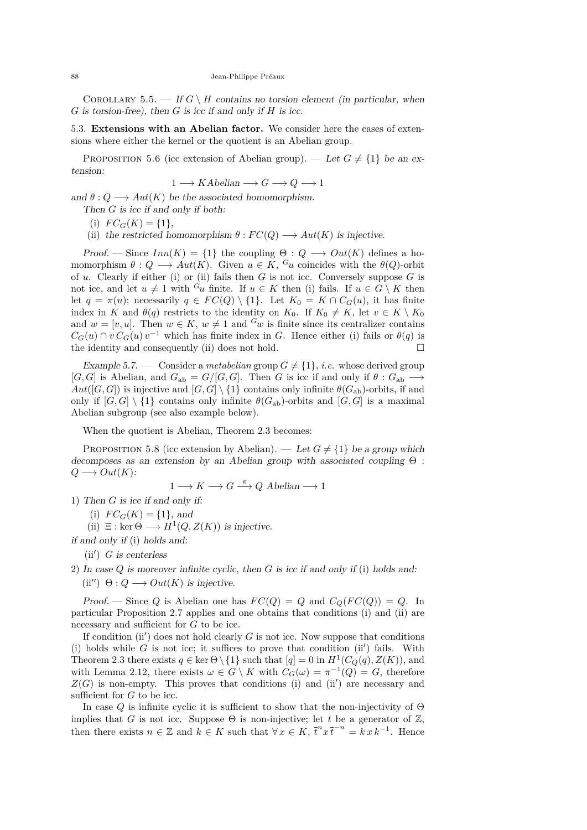<span id="page-16-0"></span>COROLLARY 5.5. — If  $G \setminus H$  contains no torsion element (in particular, when *G* is torsion-free), then *G* is icc if and only if *H* is icc.

5.3. **Extensions with an Abelian factor.** We consider here the cases of extensions where either the kernel or the quotient is an Abelian group.

PROPOSITION 5.6 (icc extension of Abelian group). — Let  $G \neq \{1\}$  be an extension:

$$
1 \longrightarrow KAbelian \longrightarrow G \longrightarrow Q \longrightarrow 1
$$

and  $\theta: Q \longrightarrow Aut(K)$  be the associated homomorphism.

Then *G* is icc if and only if both:

(i)  $FC_G(K) = \{1\},\$ 

(ii) the restricted homomorphism  $\theta$  :  $FC(Q) \longrightarrow Aut(K)$  is injective.

Proof. — Since  $Inn(K) = \{1\}$  the coupling  $\Theta: Q \longrightarrow Out(K)$  defines a homomorphism  $\theta: Q \longrightarrow Aut(K)$ . Given  $u \in K$ ,  $G_u$  coincides with the  $\theta(Q)$ -orbit of *u*. Clearly if either (i) or (ii) fails then *G* is not icc. Conversely suppose *G* is not icc, and let  $u \neq 1$  with  $G_u$  finite. If  $u \in K$  then (i) fails. If  $u \in G \setminus K$  then let  $q = \pi(u)$ ; necessarily  $q \in FC(Q) \setminus \{1\}$ . Let  $K_0 = K \cap C_G(u)$ , it has finite index in *K* and  $\theta(q)$  restricts to the identity on  $K_0$ . If  $K_0 \neq K$ , let  $v \in K \setminus K_0$ and  $w = [v, u]$ . Then  $w \in K$ ,  $w \neq 1$  and  $G_w$  is finite since its centralizer contains  $C_G(u) \cap v C_G(u) v^{-1}$  which has finite index in *G*. Hence either (i) fails or  $\theta(q)$  is the identity and consequently (ii) does not hold.  $\square$ 

Example 5.7. — Consider a *metabelian* group  $G \neq \{1\}$ , *i.e.* whose derived group  $[G, G]$  is Abelian, and  $G_{ab} = G/[G, G]$ . Then *G* is icc if and only if  $\theta : G_{ab} \longrightarrow$  $Aut([G, G])$  is injective and  $[G, G] \setminus \{1\}$  contains only infinite  $\theta(G_{ab})$ -orbits, if and only if  $[G, G] \setminus \{1\}$  contains only infinite  $\theta(G_{ab})$ -orbits and  $[G, G]$  is a maximal Abelian subgroup (see also example below).

When the quotient is Abelian, Theorem [2.3](#page-6-0) becomes:

PROPOSITION 5.8 (icc extension by Abelian). — Let  $G \neq \{1\}$  be a group which decomposes as an extension by an Abelian group with associated coupling Θ :  $Q \longrightarrow Out(K)$ :

$$
1 \longrightarrow K \longrightarrow G \stackrel{\pi}{\longrightarrow} Q \text{ Abelian} \longrightarrow 1
$$

1) Then *G* is icc if and only if:

(i)  $FC_G(K) = \{1\}$ , and

(ii)  $\Xi$  : ker  $\Theta \longrightarrow H^1(Q, Z(K))$  is injective.

if and only if (i) holds and:

 $(ii')$  *G* is centerless

2) In case *Q* is moreover infinite cyclic, then *G* is icc if and only if (i) holds and:  $(ii'') \Theta: Q \longrightarrow Out(K)$  is injective.

Proof. — Since *Q* is Abelian one has  $FC(Q) = Q$  and  $C_Q(FC(Q)) = Q$ . In particular Proposition [2.7](#page-7-0) applies and one obtains that conditions (i) and (ii) are necessary and sufficient for *G* to be icc.

If condition (ii') does not hold clearly  $G$  is not icc. Now suppose that conditions (i) holds while  $G$  is not icc; it suffices to prove that condition (ii') fails. With Theorem [2.3](#page-6-0) there exists  $q \in \text{ker } \Theta \setminus \{1\}$  such that  $[q] = 0$  in  $H^1(C_Q(q), Z(K))$ , and with Lemma [2.12,](#page-9-0) there exists  $\omega \in G \setminus K$  with  $C_G(\omega) = \pi^{-1}(Q) = G$ , therefore  $Z(G)$  is non-empty. This proves that conditions (i) and (ii') are necessary and sufficient for *G* to be icc.

In case  $Q$  is infinite cyclic it is sufficient to show that the non-injectivity of  $\Theta$ implies that *G* is not icc. Suppose  $\Theta$  is non-injective; let *t* be a generator of  $\mathbb{Z}$ , then there exists  $n \in \mathbb{Z}$  and  $k \in K$  such that  $\forall x \in K$ ,  $\bar{t}^n x \bar{t}^{-n} = k x k^{-1}$ . Hence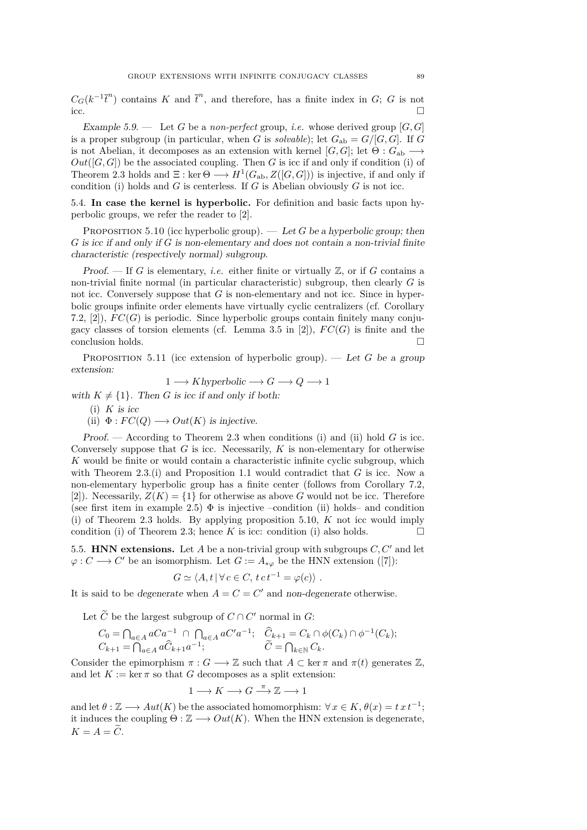<span id="page-17-0"></span> $C_G(k^{-1}\overline{t}^n)$  contains *K* and  $\overline{t}^n$ , and therefore, has a finite index in *G*; *G* is not  $\Box$ 

Example 5.9. — Let *G* be a *non-perfect* group, *i.e.* whose derived group [*G, G*] is a proper subgroup (in particular, when *G* is *solvable*); let  $G_{ab} = G/[G, G]$ . If *G* is not Abelian, it decomposes as an extension with kernel  $[G, G]$ ; let  $\Theta : G_{ab} \longrightarrow$ *Out*([*G, G*]) be the associated coupling. Then *G* is icc if and only if condition (i) of Theorem [2.3](#page-6-0) holds and  $\Xi$ : ker  $\Theta \longrightarrow H^1(G_{ab}, Z([G, G]))$  is injective, if and only if condition (i) holds and  $G$  is centerless. If  $G$  is Abelian obviously  $G$  is not icc.

5.4. **In case the kernel is hyperbolic.** For definition and basic facts upon hyperbolic groups, we refer the reader to [\[2\]](#page-20-0).

PROPOSITION 5.10 (icc hyperbolic group).  $-$  Let *G* be a hyperbolic group; then *G* is icc if and only if *G* is non-elementary and does not contain a non-trivial finite characteristic (respectively normal) subgroup.

Proof.  $\Box$  If *G* is elementary, *i.e.* either finite or virtually  $\mathbb{Z}$ , or if *G* contains a non-trivial finite normal (in particular characteristic) subgroup, then clearly *G* is not icc. Conversely suppose that *G* is non-elementary and not icc. Since in hyperbolic groups infinite order elements have virtually cyclic centralizers (cf. Corollary 7.2,  $[2]$ ,  $FC(G)$  is periodic. Since hyperbolic groups contain finitely many conju-gacy classes of torsion elements (cf. Lemma 3.5 in [\[2\]](#page-20-0)),  $FC(G)$  is finite and the conclusion holds.

PROPOSITION 5.11 (icc extension of hyperbolic group). — Let  $G$  be a group extension:

$$
1 \longrightarrow Khyperbolic \longrightarrow G \longrightarrow Q \longrightarrow 1
$$

with  $K \neq \{1\}$ . Then *G* is icc if and only if both:

- $(i)$  *K* is icc
- (ii)  $\Phi: FC(Q) \longrightarrow Out(K)$  is injective.

Proof. — According to Theorem [2.3](#page-6-0) when conditions (i) and (ii) hold *G* is icc. Conversely suppose that *G* is icc. Necessarily, *K* is non-elementary for otherwise *K* would be finite or would contain a characteristic infinite cyclic subgroup, which with Theorem [2.3.](#page-6-0)(i) and Proposition [1.1](#page-2-0) would contradict that  $G$  is icc. Now a non-elementary hyperbolic group has a finite center (follows from Corollary 7.2, [\[2\]](#page-20-0)). Necessarily,  $Z(K) = \{1\}$  for otherwise as above G would not be icc. Therefore (see first item in example [2.5\)](#page-6-0)  $\Phi$  is injective –condition (ii) holds– and condition (i) of Theorem [2.3](#page-6-0) holds. By applying proposition 5.10, *K* not icc would imply condition (i) of Theorem [2.3;](#page-6-0) hence *K* is icc: condition (i) also holds.

5.5. **HNN extensions.** Let  $A$  be a non-trivial group with subgroups  $C, C'$  and let  $\varphi: C \longrightarrow C'$  be an isomorphism. Let  $G := A_{*\varphi}$  be the HNN extension ([\[7\]](#page-20-0)):

$$
G \simeq \langle A, t | \forall c \in C, t c t^{-1} = \varphi(c) \rangle.
$$

It is said to be degenerate when  $A = C = C'$  and non-degenerate otherwise.

Let  $\tilde{C}$  be the largest subgroup of  $C \cap C'$  normal in  $G$ :

$$
C_0 = \bigcap_{a \in A} aCa^{-1} \cap \bigcap_{a \in A} aC'^{a-1}; \quad \hat{C}_{k+1} = C_k \cap \phi(C_k) \cap \phi^{-1}(C_k);
$$
  

$$
C_{k+1} = \bigcap_{a \in A} a\hat{C}_{k+1}a^{-1}; \qquad \tilde{C} = \bigcap_{k \in \mathbb{N}} C_k.
$$

Consider the epimorphism  $\pi : G \longrightarrow \mathbb{Z}$  such that  $A \subset \text{ker } \pi$  and  $\pi(t)$  generates  $\mathbb{Z}$ , and let  $K := \ker \pi$  so that *G* decomposes as a split extension:

$$
1 \longrightarrow K \longrightarrow G \stackrel{\pi}{\longrightarrow} \mathbb{Z} \longrightarrow 1
$$

and let  $\theta : \mathbb{Z} \longrightarrow Aut(K)$  be the associated homomorphism:  $\forall x \in K, \theta(x) = t x t^{-1}$ ; it induces the coupling  $\Theta : \mathbb{Z} \longrightarrow Out(K)$ . When the HNN extension is degenerate,  $K = A = \tilde{C}$ .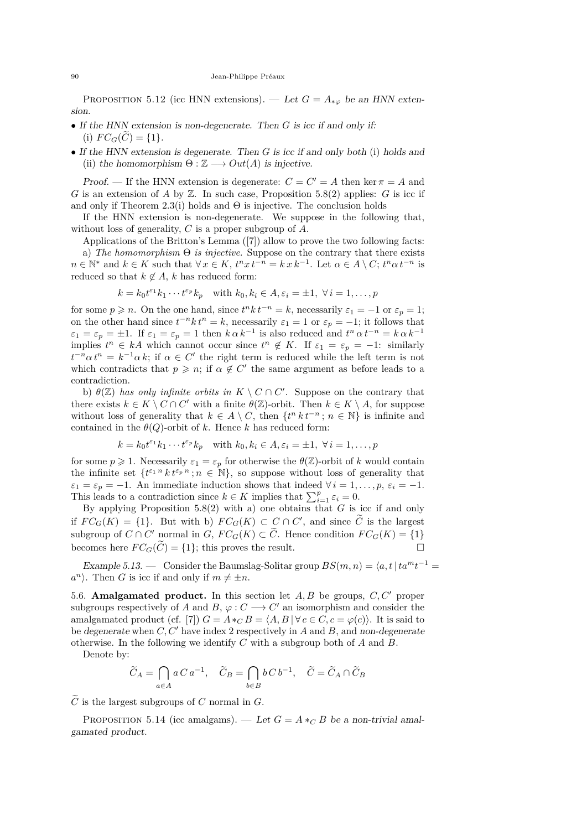PROPOSITION 5.12 (icc HNN extensions). — Let  $G = A_{*\varphi}$  be an HNN extension.

- If the HNN extension is non-degenerate. Then *G* is icc if and only if: (i)  $FC_G(C) = \{1\}.$
- If the HNN extension is degenerate. Then *G* is icc if and only both (i) holds and (ii) the homomorphism  $\Theta : \mathbb{Z} \longrightarrow Out(A)$  is injective.

Proof. — If the HNN extension is degenerate:  $C = C' = A$  then ker  $\pi = A$  and *G* is an extension of *A* by  $\mathbb{Z}$ . In such case, Proposition [5.8\(](#page-16-0)2) applies: *G* is icc if and only if Theorem [2.3\(](#page-6-0)i) holds and  $\Theta$  is injective. The conclusion holds

If the HNN extension is non-degenerate. We suppose in the following that, without loss of generality, *C* is a proper subgroup of *A*.

Applications of the Britton's Lemma ([\[7\]](#page-20-0)) allow to prove the two following facts: a) *The homomorphism* Θ *is injective.* Suppose on the contrary that there exists  $n \in \mathbb{N}^*$  and  $k \in K$  such that  $\forall x \in K$ ,  $t^n x t^{-n} = k x k^{-1}$ . Let  $\alpha \in A \setminus C$ ;  $t^n \alpha t^{-n}$  is reduced so that  $k \notin A$ , *k* has reduced form:

$$
k = k_0 t^{\varepsilon_1} k_1 \cdots t^{\varepsilon_p} k_p
$$
 with  $k_0, k_i \in A, \varepsilon_i = \pm 1, \forall i = 1, ..., p$ 

for some  $p \geq n$ . On the one hand, since  $t^n k t^{-n} = k$ , necessarily  $\varepsilon_1 = -1$  or  $\varepsilon_p = 1$ ; on the other hand since  $t^{-n}k t^n = k$ , necessarily  $\varepsilon_1 = 1$  or  $\varepsilon_p = -1$ ; it follows that  $\varepsilon_1 = \varepsilon_p = \pm 1$ . If  $\varepsilon_1 = \varepsilon_p = 1$  then  $k \alpha k^{-1}$  is also reduced and  $t^n \alpha t^{-n} = k \alpha k^{-1}$ implies  $t^n \in kA$  which cannot occur since  $t^n \notin K$ . If  $\varepsilon_1 = \varepsilon_p = -1$ : similarly  $t^{-n} \alpha t^n = k^{-1} \alpha k$ ; if  $\alpha \in C'$  the right term is reduced while the left term is not which contradicts that  $p \geq n$ ; if  $\alpha \notin C'$  the same argument as before leads to a contradiction.

b)  $\theta(\mathbb{Z})$  *has only infinite orbits in*  $K \setminus C \cap C'$ . Suppose on the contrary that there exists  $k \in K \setminus C \cap C'$  with a finite  $\theta(\mathbb{Z})$ -orbit. Then  $k \in K \setminus A$ , for suppose without loss of generality that  $k \in A \setminus C$ , then  $\{t^n k t^{-n} : n \in \mathbb{N}\}\$ is infinite and contained in the  $\theta(Q)$ -orbit of *k*. Hence *k* has reduced form:

$$
k = k_0 t^{\varepsilon_1} k_1 \cdots t^{\varepsilon_p} k_p \quad \text{with } k_0, k_i \in A, \varepsilon_i = \pm 1, \ \forall \, i = 1, \dots, p
$$

for some  $p \geq 1$ . Necessarily  $\varepsilon_1 = \varepsilon_p$  for otherwise the  $\theta(\mathbb{Z})$ -orbit of *k* would contain the infinite set  $\{t^{\varepsilon_1 n} k t^{\varepsilon_p n}$ ;  $n \in \mathbb{N}\}$ , so suppose without loss of generality that  $\varepsilon_1 = \varepsilon_p = -1$ . An immediate induction shows that indeed  $\forall i = 1, \ldots, p, \varepsilon_i = -1$ . This leads to a contradiction since  $k \in K$  implies that  $\sum_{i=1}^{p} \varepsilon_i = 0$ .

By applying Proposition [5.8\(](#page-16-0)2) with a) one obtains that *G* is icc if and only if  $FC_G(K) = \{1\}$ . But with b)  $FC_G(K) \subset C \cap C'$ , and since  $\tilde{C}$  is the largest subgroup of  $C \cap C'$  normal in  $G$ ,  $FC_G(K) \subset \tilde{C}$ . Hence condition  $FC_G(K) = \{1\}$ becomes here  $FC_G(\widetilde{C}) = \{1\}$ ; this proves the result.

Example 5.13. — Consider the Baumslag-Solitar group  $BS(m, n) = \langle a, t \mid ta^m t^{-1} \rangle$  $a^n$ ). Then *G* is icc if and only if  $m \neq \pm n$ .

5.6. **Amalgamated product.** In this section let  $A, B$  be groups,  $C, C'$  proper subgroups respectively of *A* and *B*,  $\varphi : C \longrightarrow C'$  an isomorphism and consider the amalgamated product (cf. [\[7\]](#page-20-0))  $G = A *_{C} B = \langle A, B | \forall c \in C, c = \varphi(c) \rangle$ . It is said to be degenerate when  $C, C'$  have index 2 respectively in  $A$  and  $B$ , and non-degenerate otherwise. In the following we identify *C* with a subgroup both of *A* and *B*.

Denote by:

$$
\widetilde{C}_A = \bigcap_{a \in A} a \, C \, a^{-1}, \quad \widetilde{C}_B = \bigcap_{b \in B} b \, C \, b^{-1}, \quad \widetilde{C} = \widetilde{C}_A \cap \widetilde{C}_B
$$

 $\widetilde{C}$  is the largest subgroups of *C* normal in *G*.

PROPOSITION 5.14 (icc amalgams). — Let  $G = A *_{C} B$  be a non-trivial amalgamated product.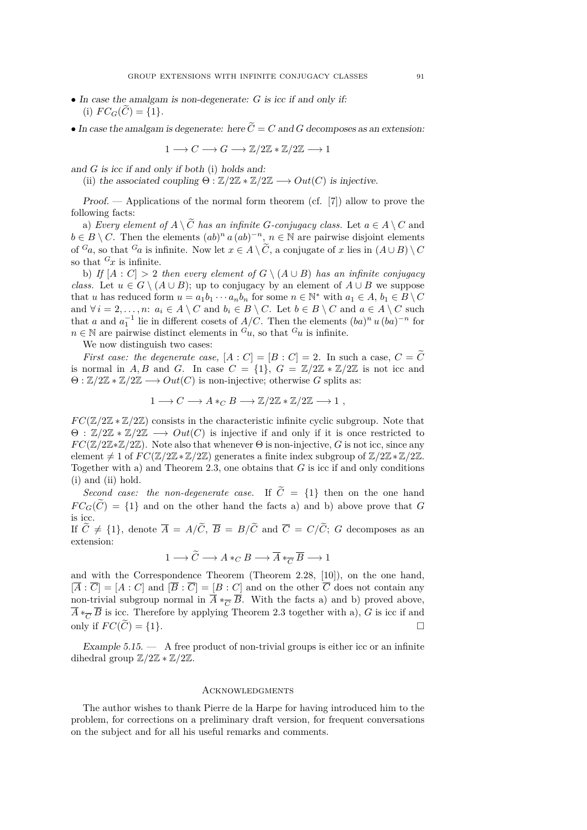- In case the amalgam is non-degenerate: *G* is icc if and only if: (i)  $FC_G(C) = \{1\}.$
- In case the amalgam is degenerate: here  $\tilde{C} = C$  and *G* decomposes as an extension:

$$
1 \longrightarrow C \longrightarrow G \longrightarrow \mathbb{Z}/2\mathbb{Z} * \mathbb{Z}/2\mathbb{Z} \longrightarrow 1
$$

and *G* is icc if and only if both (i) holds and:

(ii) the associated coupling  $\Theta : \mathbb{Z}/2\mathbb{Z} * \mathbb{Z}/2\mathbb{Z} \longrightarrow Out(C)$  is injective.

Proof. — Applications of the normal form theorem (cf. [\[7\]](#page-20-0)) allow to prove the following facts:

a) *Every element of*  $A \setminus \widetilde{C}$  *has an infinite G-conjugacy class.* Let  $a \in A \setminus C$  and  $b \in B \setminus C$ . Then the elements  $(ab)^n a (ab)^{-n}, n \in \mathbb{N}$  are pairwise disjoint elements of  $G_a$ , so that  $G_a$  is infinite. Now let  $x \in A \setminus C$ , a conjugate of *x* lies in  $(A \cup B) \setminus C$ so that  $G_x$  is infinite.

b) *If*  $[A : C] > 2$  *then every element of*  $G \setminus (A \cup B)$  *has an infinite conjugacy class.* Let  $u \in G \setminus (A \cup B)$ ; up to conjugacy by an element of  $A \cup B$  we suppose that *u* has reduced form  $u = a_1b_1 \cdots a_nb_n$  for some  $n \in \mathbb{N}^*$  with  $a_1 \in A$ ,  $b_1 \in B \setminus C$ and  $\forall i = 2, \ldots, n$ :  $a_i \in A \setminus C$  and  $b_i \in B \setminus C$ . Let  $b \in B \setminus C$  and  $a \in A \setminus C$  such that *a* and  $a_1^{-1}$  lie in different cosets of *A/C*. Then the elements  $(ba)^n u (ba)^{-n}$  for  $n \in \mathbb{N}$  are pairwise distinct elements in  $^G u$ , so that  $^G u$  is infinite.

We now distinguish two cases:

*First case: the degenerate case,*  $[A : C] = [B : C] = 2$ . In such a case,  $C = \widetilde{C}$ is normal in *A, B* and *G*. In case  $C = \{1\}$ ,  $G = \mathbb{Z}/2\mathbb{Z} * \mathbb{Z}/2\mathbb{Z}$  is not icc and  $\Theta$  :  $\mathbb{Z}/2\mathbb{Z} \ast \mathbb{Z}/2\mathbb{Z} \longrightarrow Out(C)$  is non-injective; otherwise *G* splits as:

$$
1 \longrightarrow C \longrightarrow A *_{C} B \longrightarrow \mathbb{Z}/2\mathbb{Z} * \mathbb{Z}/2\mathbb{Z} \longrightarrow 1 ,
$$

 $FC(\mathbb{Z}/2\mathbb{Z} * \mathbb{Z}/2\mathbb{Z})$  consists in the characteristic infinite cyclic subgroup. Note that  $\Theta$ :  $\mathbb{Z}/2\mathbb{Z} \ast \mathbb{Z}/2\mathbb{Z} \longrightarrow Out(C)$  is injective if and only if it is once restricted to  $FC(\mathbb{Z}/2\mathbb{Z}*\mathbb{Z}/2\mathbb{Z})$ . Note also that whenever  $\Theta$  is non-injective, *G* is not icc, since any element  $\neq 1$  of  $FC(\mathbb{Z}/2\mathbb{Z}*\mathbb{Z}/2\mathbb{Z})$  generates a finite index subgroup of  $\mathbb{Z}/2\mathbb{Z}*\mathbb{Z}/2\mathbb{Z}$ . Together with a) and Theorem [2.3,](#page-6-0) one obtains that *G* is icc if and only conditions (i) and (ii) hold.

*Second case: the non-degenerate case.* If  $\tilde{C} = \{1\}$  then on the one hand  $FC_G(\widetilde{C}) = \{1\}$  and on the other hand the facts a) and b) above prove that *G* is icc.

If  $\widetilde{C} \neq \{1\}$ , denote  $\overline{A} = A/\widetilde{C}$ ,  $\overline{B} = B/\widetilde{C}$  and  $\overline{C} = C/\widetilde{C}$ ; *G* decomposes as an extension:

$$
1 \longrightarrow \widetilde{C} \longrightarrow A *_{C} B \longrightarrow \overline{A} *_{\overline{C}} \overline{B} \longrightarrow 1
$$

and with the Correspondence Theorem (Theorem 2.28, [\[10\]](#page-20-0)), on the one hand,  $[\overline{A} : \overline{C}] = [A : C]$  and  $[\overline{B} : \overline{C}] = [B : C]$  and on the other  $\overline{C}$  does not contain any non-trivial subgroup normal in  $\overline{A} *_{\overline{C}} \overline{B}$ . With the facts a) and b) proved above,  $\overline{A} *_{\overline{C}} \overline{B}$  is icc. Therefore by applying Theorem [2.3](#page-6-0) together with a), *G* is icc if and only if  $FC(\widetilde{C}) = \{1\}.$ 

Example  $5.15.$   $\qquad$  A free product of non-trivial groups is either icc or an infinite dihedral group  $\mathbb{Z}/2\mathbb{Z} * \mathbb{Z}/2\mathbb{Z}$ .

#### **ACKNOWLEDGMENTS**

The author wishes to thank Pierre de la Harpe for having introduced him to the problem, for corrections on a preliminary draft version, for frequent conversations on the subject and for all his useful remarks and comments.